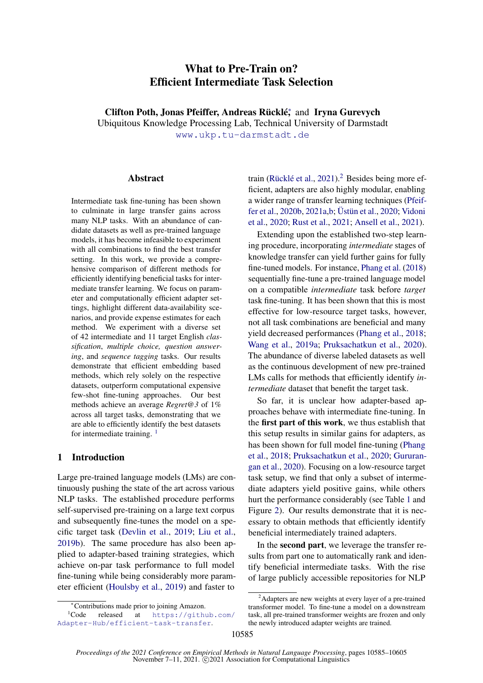# What to Pre-Train on? Efficient Intermediate Task Selection

Clifton Poth, Jonas Pfeiffer, Andreas Rücklé<sup>\*</sup>, and Iryna Gurevych

Ubiquitous Knowledge Processing Lab, Technical University of Darmstadt

[www.ukp.tu-darmstadt.de](https://www.informatik.tu-darmstadt.de/ukp/ukp_home/index.en.jsp)

#### **Abstract**

Intermediate task fine-tuning has been shown to culminate in large transfer gains across many NLP tasks. With an abundance of candidate datasets as well as pre-trained language models, it has become infeasible to experiment with all combinations to find the best transfer setting. In this work, we provide a comprehensive comparison of different methods for efficiently identifying beneficial tasks for intermediate transfer learning. We focus on parameter and computationally efficient adapter settings, highlight different data-availability scenarios, and provide expense estimates for each method. We experiment with a diverse set of 42 intermediate and 11 target English *classification*, *multiple choice, question answering*, and *sequence tagging* tasks. Our results demonstrate that efficient embedding based methods, which rely solely on the respective datasets, outperform computational expensive few-shot fine-tuning approaches. Our best methods achieve an average *Regret@3* of 1% across all target tasks, demonstrating that we are able to efficiently identify the best datasets for intermediate training.  $<sup>1</sup>$  $<sup>1</sup>$  $<sup>1</sup>$ </sup>

## 1 Introduction

Large pre-trained language models (LMs) are continuously pushing the state of the art across various NLP tasks. The established procedure performs self-supervised pre-training on a large text corpus and subsequently fine-tunes the model on a specific target task [\(Devlin et al.,](#page-9-0) [2019;](#page-9-0) [Liu et al.,](#page-11-0) [2019b\)](#page-11-0). The same procedure has also been applied to adapter-based training strategies, which achieve on-par task performance to full model fine-tuning while being considerably more parameter efficient [\(Houlsby et al.,](#page-10-0) [2019\)](#page-10-0) and faster to

train [\(Rücklé et al.,](#page-12-0) [2021\)](#page-12-0).<sup>[2](#page-0-1)</sup> Besides being more efficient, adapters are also highly modular, enabling a wider range of transfer learning techniques [\(Pfeif](#page-11-1)[fer et al.,](#page-11-1) [2020b,](#page-11-1) [2021a,](#page-11-2)[b;](#page-11-3) [Üstün et al.,](#page-13-0) [2020;](#page-13-0) [Vidoni](#page-13-1) [et al.,](#page-13-1) [2020;](#page-13-1) [Rust et al.,](#page-12-1) [2021;](#page-12-1) [Ansell et al.,](#page-8-0) [2021\)](#page-8-0).

Extending upon the established two-step learning procedure, incorporating *intermediate* stages of knowledge transfer can yield further gains for fully fine-tuned models. For instance, [Phang et al.](#page-11-4) [\(2018\)](#page-11-4) sequentially fine-tune a pre-trained language model on a compatible *intermediate* task before *target* task fine-tuning. It has been shown that this is most effective for low-resource target tasks, however, not all task combinations are beneficial and many yield decreased performances [\(Phang et al.,](#page-11-4) [2018;](#page-11-4) [Wang et al.,](#page-13-2) [2019a;](#page-13-2) [Pruksachatkun et al.,](#page-11-5) [2020\)](#page-11-5). The abundance of diverse labeled datasets as well as the continuous development of new pre-trained LMs calls for methods that efficiently identify *intermediate* dataset that benefit the target task.

So far, it is unclear how adapter-based approaches behave with intermediate fine-tuning. In the first part of this work, we thus establish that this setup results in similar gains for adapters, as has been shown for full model fine-tuning [\(Phang](#page-11-4) [et al.,](#page-11-4) [2018;](#page-11-4) [Pruksachatkun et al.,](#page-11-5) [2020;](#page-11-5) [Gururan](#page-10-1)[gan et al.,](#page-10-1) [2020\)](#page-10-1). Focusing on a low-resource target task setup, we find that only a subset of intermediate adapters yield positive gains, while others hurt the performance considerably (see Table [1](#page-3-0) and Figure [2\)](#page-3-1). Our results demonstrate that it is necessary to obtain methods that efficiently identify beneficial intermediately trained adapters.

In the second part, we leverage the transfer results from part one to automatically rank and identify beneficial intermediate tasks. With the rise of large publicly accessible repositories for NLP

<span id="page-0-0"></span><sup>∗</sup>Contributions made prior to joining Amazon.

 ${}^{1}$ Code released at [https://github.com/](https://github.com/Adapter-Hub/efficient-task-transfer) [Adapter-Hub/efficient-task-transfer](https://github.com/Adapter-Hub/efficient-task-transfer).

<span id="page-0-1"></span><sup>&</sup>lt;sup>2</sup>Adapters are new weights at every layer of a pre-trained transformer model. To fine-tune a model on a downstream task, all pre-trained transformer weights are frozen and only the newly introduced adapter weights are trained.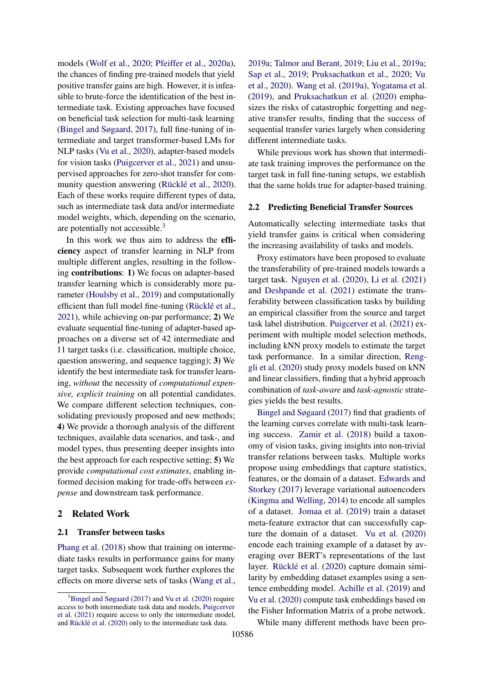models [\(Wolf et al.,](#page-14-0) [2020;](#page-14-0) [Pfeiffer et al.,](#page-11-6) [2020a\)](#page-11-6), the chances of finding pre-trained models that yield positive transfer gains are high. However, it is infeasible to brute-force the identification of the best intermediate task. Existing approaches have focused on beneficial task selection for multi-task learning [\(Bingel and Søgaard,](#page-9-1) [2017\)](#page-9-1), full fine-tuning of intermediate and target transformer-based LMs for NLP tasks [\(Vu et al.,](#page-13-3) [2020\)](#page-13-3), adapter-based models for vision tasks [\(Puigcerver et al.,](#page-11-7) [2021\)](#page-11-7) and unsupervised approaches for zero-shot transfer for community question answering [\(Rücklé et al.,](#page-12-2) [2020\)](#page-12-2). Each of these works require different types of data, such as intermediate task data and/or intermediate model weights, which, depending on the scenario, are potentially not accessible.[3](#page-1-0)

In this work we thus aim to address the efficiency aspect of transfer learning in NLP from multiple different angles, resulting in the following contributions: 1) We focus on adapter-based transfer learning which is considerably more parameter [\(Houlsby et al.,](#page-10-0) [2019\)](#page-10-0) and computationally efficient than full model fine-tuning [\(Rücklé et al.,](#page-12-0) [2021\)](#page-12-0), while achieving on-par performance; 2) We evaluate sequential fine-tuning of adapter-based approaches on a diverse set of 42 intermediate and 11 target tasks (i.e. classification, multiple choice, question answering, and sequence tagging); 3) We identify the best intermediate task for transfer learning, *without* the necessity of *computational expensive, explicit training* on all potential candidates. We compare different selection techniques, consolidating previously proposed and new methods; 4) We provide a thorough analysis of the different techniques, available data scenarios, and task-, and model types, thus presenting deeper insights into the best approach for each respective setting; 5) We provide *computational cost estimates*, enabling informed decision making for trade-offs between *expense* and downstream task performance.

#### 2 Related Work

#### 2.1 Transfer between tasks

[Phang et al.](#page-11-4) [\(2018\)](#page-11-4) show that training on intermediate tasks results in performance gains for many target tasks. Subsequent work further explores the effects on more diverse sets of tasks [\(Wang et al.,](#page-13-2) [2019a;](#page-13-2) [Talmor and Berant,](#page-13-4) [2019;](#page-13-4) [Liu et al.,](#page-11-8) [2019a;](#page-11-8) [Sap et al.,](#page-12-3) [2019;](#page-12-3) [Pruksachatkun et al.,](#page-11-5) [2020;](#page-11-5) [Vu](#page-13-3) [et al.,](#page-13-3) [2020\)](#page-13-3). [Wang et al.](#page-13-2) [\(2019a\)](#page-13-2), [Yogatama et al.](#page-14-1) [\(2019\)](#page-14-1), and [Pruksachatkun et al.](#page-11-5) [\(2020\)](#page-11-5) emphasizes the risks of catastrophic forgetting and negative transfer results, finding that the success of sequential transfer varies largely when considering different intermediate tasks.

While previous work has shown that intermediate task training improves the performance on the target task in full fine-tuning setups, we establish that the same holds true for adapter-based training.

## 2.2 Predicting Beneficial Transfer Sources

Automatically selecting intermediate tasks that yield transfer gains is critical when considering the increasing availability of tasks and models.

Proxy estimators have been proposed to evaluate the transferability of pre-trained models towards a target task. [Nguyen et al.](#page-11-9) [\(2020\)](#page-11-9), [Li et al.](#page-10-2) [\(2021\)](#page-10-2) and [Deshpande et al.](#page-9-2) [\(2021\)](#page-9-2) estimate the transferability between classification tasks by building an empirical classifier from the source and target task label distribution. [Puigcerver et al.](#page-11-7) [\(2021\)](#page-11-7) experiment with multiple model selection methods, including kNN proxy models to estimate the target task performance. In a similar direction, [Reng](#page-12-4)[gli et al.](#page-12-4) [\(2020\)](#page-12-4) study proxy models based on kNN and linear classifiers, finding that a hybrid approach combination of *task-aware* and *task-agnostic* strategies yields the best results.

[Bingel and Søgaard](#page-9-1) [\(2017\)](#page-9-1) find that gradients of the learning curves correlate with multi-task learning success. [Zamir et al.](#page-14-2) [\(2018\)](#page-14-2) build a taxonomy of vision tasks, giving insights into non-trivial transfer relations between tasks. Multiple works propose using embeddings that capture statistics, features, or the domain of a dataset. [Edwards and](#page-10-3) [Storkey](#page-10-3) [\(2017\)](#page-10-3) leverage variational autoencoders [\(Kingma and Welling,](#page-10-4) [2014\)](#page-10-4) to encode all samples of a dataset. [Jomaa et al.](#page-10-5) [\(2019\)](#page-10-5) train a dataset meta-feature extractor that can successfully capture the domain of a dataset. [Vu et al.](#page-13-3) [\(2020\)](#page-13-3) encode each training example of a dataset by averaging over BERT's representations of the last layer. [Rücklé et al.](#page-12-2) [\(2020\)](#page-12-2) capture domain similarity by embedding dataset examples using a sentence embedding model. [Achille et al.](#page-8-1) [\(2019\)](#page-8-1) and [Vu et al.](#page-13-3) [\(2020\)](#page-13-3) compute task embeddings based on the Fisher Information Matrix of a probe network.

While many different methods have been pro-

<span id="page-1-0"></span> $3B$ ingel and Søgaard [\(2017\)](#page-9-1) and [Vu et al.](#page-13-3) [\(2020\)](#page-13-3) require access to both intermediate task data and models, [Puigcerver](#page-11-7) [et al.](#page-11-7) [\(2021\)](#page-11-7) require access to only the intermediate model, and [Rücklé et al.](#page-12-2) [\(2020\)](#page-12-2) only to the intermediate task data.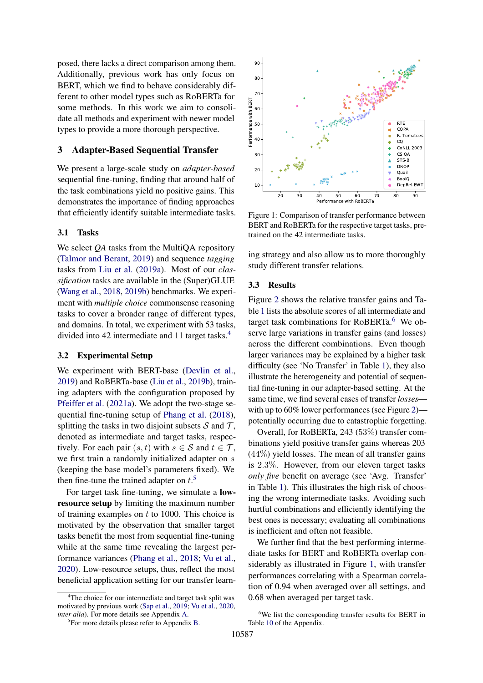posed, there lacks a direct comparison among them. Additionally, previous work has only focus on BERT, which we find to behave considerably different to other model types such as RoBERTa for some methods. In this work we aim to consolidate all methods and experiment with newer model types to provide a more thorough perspective.

### <span id="page-2-4"></span>3 Adapter-Based Sequential Transfer

We present a large-scale study on *adapter-based* sequential fine-tuning, finding that around half of the task combinations yield no positive gains. This demonstrates the importance of finding approaches that efficiently identify suitable intermediate tasks.

#### 3.1 Tasks

We select *QA* tasks from the MultiQA repository [\(Talmor and Berant,](#page-13-4) [2019\)](#page-13-4) and sequence *tagging* tasks from [Liu et al.](#page-11-8) [\(2019a\)](#page-11-8). Most of our *classification* tasks are available in the (Super)GLUE [\(Wang et al.,](#page-13-5) [2018,](#page-13-5) [2019b\)](#page-13-6) benchmarks. We experiment with *multiple choice* commonsense reasoning tasks to cover a broader range of different types, and domains. In total, we experiment with 53 tasks, divided into 42 intermediate and 11 target tasks.[4](#page-2-0)

## 3.2 Experimental Setup

We experiment with BERT-base [\(Devlin et al.,](#page-9-0) [2019\)](#page-9-0) and RoBERTa-base [\(Liu et al.,](#page-11-0) [2019b\)](#page-11-0), training adapters with the configuration proposed by [Pfeiffer et al.](#page-11-2) [\(2021a\)](#page-11-2). We adopt the two-stage sequential fine-tuning setup of [Phang et al.](#page-11-4) [\(2018\)](#page-11-4), splitting the tasks in two disjoint subsets  $S$  and  $T$ , denoted as intermediate and target tasks, respectively. For each pair  $(s, t)$  with  $s \in S$  and  $t \in T$ , we first train a randomly initialized adapter on s (keeping the base model's parameters fixed). We then fine-tune the trained adapter on  $t$ .<sup>[5](#page-2-1)</sup>

For target task fine-tuning, we simulate a lowresource setup by limiting the maximum number of training examples on  $t$  to 1000. This choice is motivated by the observation that smaller target tasks benefit the most from sequential fine-tuning while at the same time revealing the largest performance variances [\(Phang et al.,](#page-11-4) [2018;](#page-11-4) [Vu et al.,](#page-13-3) [2020\)](#page-13-3). Low-resource setups, thus, reflect the most beneficial application setting for our transfer learn-

<span id="page-2-3"></span>

Figure 1: Comparison of transfer performance between BERT and RoBERTa for the respective target tasks, pretrained on the 42 intermediate tasks.

ing strategy and also allow us to more thoroughly study different transfer relations.

#### 3.3 Results

Figure [2](#page-3-1) shows the relative transfer gains and Table [1](#page-3-0) lists the absolute scores of all intermediate and target task combinations for  $RoBERTa<sup>6</sup>$  $RoBERTa<sup>6</sup>$  $RoBERTa<sup>6</sup>$  We observe large variations in transfer gains (and losses) across the different combinations. Even though larger variances may be explained by a higher task difficulty (see 'No Transfer' in Table [1\)](#page-3-0), they also illustrate the heterogeneity and potential of sequential fine-tuning in our adapter-based setting. At the same time, we find several cases of transfer *losses*— with up to 60% lower performances (see Figure [2\)](#page-3-1) potentially occurring due to catastrophic forgetting.

Overall, for RoBERTa, 243 (53%) transfer combinations yield positive transfer gains whereas 203  $(44\%)$  yield losses. The mean of all transfer gains is 2.3%. However, from our eleven target tasks *only five* benefit on average (see 'Avg. Transfer' in Table [1\)](#page-3-0). This illustrates the high risk of choosing the wrong intermediate tasks. Avoiding such hurtful combinations and efficiently identifying the best ones is necessary; evaluating all combinations is inefficient and often not feasible.

We further find that the best performing intermediate tasks for BERT and RoBERTa overlap considerably as illustrated in Figure [1,](#page-2-3) with transfer performances correlating with a Spearman correlation of 0.94 when averaged over all settings, and 0.68 when averaged per target task.

<span id="page-2-0"></span><sup>&</sup>lt;sup>4</sup>The choice for our intermediate and target task split was motivated by previous work [\(Sap et al.,](#page-12-3) [2019;](#page-12-3) [Vu et al.,](#page-13-3) [2020,](#page-13-3) *inter alia*). For more details see Appendix [A.](#page-14-3)

<span id="page-2-1"></span><sup>&</sup>lt;sup>5</sup>For more details please refer to Appendix [B.](#page-14-4)

<span id="page-2-2"></span><sup>&</sup>lt;sup>6</sup>We list the corresponding transfer results for BERT in Table [10](#page-20-0) of the Appendix.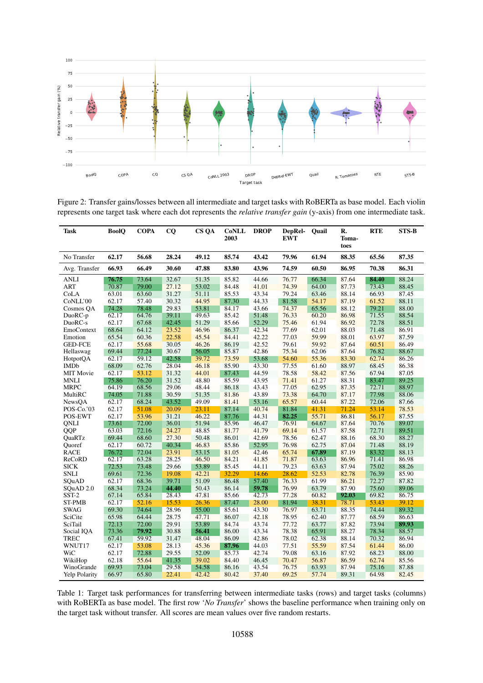<span id="page-3-1"></span>

Figure 2: Transfer gains/losses between all intermediate and target tasks with RoBERTa as base model. Each violin represents one target task where each dot represents the *relative transfer gain* (y-axis) from one intermediate task.

<span id="page-3-0"></span>

| Task                 | <b>BoolQ</b> | <b>COPA</b> | CQ    | CS QA | <b>CoNLL</b><br>2003 | <b>DROP</b> | DepRel-<br><b>EWT</b> | Quail | R.<br>Toma-<br>toes | <b>RTE</b> | $STS-B$ |
|----------------------|--------------|-------------|-------|-------|----------------------|-------------|-----------------------|-------|---------------------|------------|---------|
| No Transfer          | 62.17        | 56.68       | 28.24 | 49.12 | 85.74                | 43.42       | 79.96                 | 61.94 | 88.35               | 65.56      | 87.35   |
| Avg. Transfer        | 66.93        | 66.49       | 30.60 | 47.88 | 83.80                | 43.96       | 74.59                 | 60.50 | 86.95               | 70.38      | 86.31   |
| ANLI                 | 76.75        | 73.64       | 32.67 | 51.35 | 85.82                | 44.66       | 76.77                 | 66.34 | 87.64               | 84.40      | 88.24   |
| <b>ART</b>           | 70.87        | 79.00       | 27.12 | 53.02 | 84.48                | 41.01       | 74.39                 | 64.00 | 87.73               | 73.43      | 88.45   |
| CoLA                 | 63.01        | 63.60       | 31.27 | 51.11 | 85.53                | 43.34       | 79.24                 | 63.46 | 88.14               | 66.93      | 87.45   |
| CoNLL'00             | 62.17        | 57.40       | 30.32 | 44.95 | 87.30                | 44.33       | 81.58                 | 54.17 | 87.19               | 61.52      | 88.11   |
| Cosmos QA            | 74.28        | 78.48       | 29.83 | 53.81 | 84.17                | 43.66       | 74.37                 | 65.56 | 88.12               | 79.21      | 88.00   |
| DuoRC-p              | 62.17        | 64.76       | 39.11 | 49.63 | 85.42                | 51.48       | 76.33                 | 60.20 | 86.98               | 71.55      | 88.54   |
| DuoRC-s              | 62.17        | 67.68       | 42.45 | 51.29 | 85.66                | 52.29       | 75.46                 | 61.94 | 86.92               | 72.78      | 88.51   |
| EmoContext           | 68.64        | 64.12       | 23.52 | 46.96 | 86.37                | 42.34       | 77.69                 | 62.01 | 88.03               | 71.48      | 86.91   |
| Emotion              | 65.54        | 60.36       | 22.58 | 45.54 | 84.41                | 42.22       | 77.03                 | 59.99 | 88.01               | 63.97      | 87.59   |
| <b>GED-FCE</b>       | 62.17        | 55.68       | 30.05 | 46.26 | 86.19                | 42.52       | 79.61                 | 59.92 | 87.64               | 60.51      | 86.49   |
| Hellaswag            | 69.44        | 77.24       | 30.67 | 56.05 | 85.87                | 42.86       | 75.34                 | 62.06 | 87.64               | 76.82      | 88.67   |
| HotpotQA             | 62.17        | 59.12       | 42.58 | 39.72 | 73.59                | 53.68       | 54.60                 | 55.36 | 83.30               | 62.74      | 86.26   |
| <b>IMDb</b>          | 68.09        | 62.76       | 28.04 | 46.18 | 85.90                | 43.30       | 77.55                 | 61.60 | 88.97               | 68.45      | 86.38   |
| <b>MIT Movie</b>     | 62.17        | 53.12       | 31.32 | 44.01 | 87.43                | 44.59       | 78.58                 | 58.42 | 87.56               | 67.94      | 87.05   |
| MNLI                 | 75.86        | 76.20       | 31.52 | 48.80 | 85.59                | 43.95       | 71.41                 | 61.27 | 88.31               | 83.47      | 89.25   |
| <b>MRPC</b>          | 64.19        | 68.56       | 29.06 | 48.44 | 86.18                | 43.43       | 77.05                 | 62.95 | 87.35               | 72.71      | 88.97   |
| MultiRC              | 74.05        | 71.88       | 30.59 | 51.35 | 81.86                | 43.89       | 73.38                 | 64.70 | 87.17               | 77.98      | 88.06   |
| NewsQA               | 62.17        | 68.24       | 43.52 | 49.09 | 81.41                | 53.16       | 65.57                 | 60.44 | 87.22               | 72.06      | 87.66   |
| POS-Co.'03           | 62.17        | 51.08       | 20.09 | 23.11 | 87.14                | 40.74       | 81.84                 | 41.31 | 71.24               | 53.14      | 78.53   |
| POS-EWT              | 62.17        | 53.96       | 31.21 | 46.22 | 87.76                | 44.31       | 82.25                 | 55.71 | 86.81               | 56.17      | 87.55   |
| <b>QNLI</b>          | 73.61        | 72.00       | 36.01 | 51.94 | 85.96                | 46.47       | 76.91                 | 64.67 | 87.64               | 70.76      | 89.07   |
| <b>QQP</b>           | 63.03        | 72.16       | 24.27 | 48.85 | 81.77                | 41.79       | 69.14                 | 61.57 | 87.58               | 72.71      | 89.51   |
| QuaRTz               | 69.44        | 68.60       | 27.30 | 50.48 | 86.01                | 42.69       | 78.56                 | 62.47 | 88.16               | 68.30      | 88.27   |
| Quoref               | 62.17        | 60.72       | 40.34 | 46.83 | 85.86                | 52.95       | 76.98                 | 62.75 | 87.04               | 71.48      | 88.19   |
| RACE                 | 76.72        | 72.04       | 23.91 | 53.15 | 81.05                | 42.46       | 65.74                 | 67.89 | 87.19               | 83.32      | 88.13   |
| ReCoRD               | 62.17        | 63.28       | 28.25 | 46.50 | 84.21                | 41.85       | 71.87                 | 63.63 | 86.96               | 71.41      | 86.98   |
| SICK                 | 72.53        | 73.48       | 29.66 | 53.89 | 85.45                | 44.11       | 79.23                 | 63.63 | 87.94               | 75.02      | 88.26   |
| <b>SNLI</b>          | 69.61        | 72.36       | 19.08 | 42.21 | 32.29                | 14.66       | 28.62                 | 52.53 | 82.78               | 76.39      | 85.90   |
| SOuAD                | 62.17        | 68.36       | 39.71 | 51.09 | 86.48                | 57.40       | 76.33                 | 61.99 | 86.21               | 72.27      | 87.82   |
| SQuAD 2.0            | 68.34        | 73.24       | 44.40 | 50.43 | 86.14                | 59.78       | 76.99                 | 63.79 | 87.90               | 75.60      | 89.06   |
| SST-2                | 67.14        | 65.84       | 28.43 | 47.81 | 85.66                | 42.73       | 77.28                 | 60.82 | 92.03               | 69.82      | 86.75   |
| <b>ST-PMB</b>        | 62.17        | 52.16       | 15.53 | 26.36 | 87.47                | 28.00       | 81.94                 | 38.31 | 78.71               | 53.43      | 39.12   |
| <b>SWAG</b>          | 69.30        | 74.64       | 28.96 | 55.00 | 85.61                | 43.30       | 76.97                 | 63.71 | 88.35               | 74.44      | 89.32   |
| SciCite              | 65.98        | 64.44       | 28.75 | 47.71 | 86.07                | 42.18       | 78.95                 | 62.40 | 87.77               | 68.59      | 86.63   |
| SciTail              | 72.13        | 72.00       | 29.91 | 53.89 | 84.74                | 43.74       | 77.72                 | 63.77 | 87.82               | 73.94      | 89.93   |
| Social IQA           | 73.36        | 79.92       | 30.88 | 56.41 | 86.00                | 43.34       | 78.38                 | 65.91 | 88.27               | 78.34      | 88.57   |
| TREC                 | 67.41        | 59.92       | 31.47 | 48.04 | 86.09                | 42.86       | 78.02                 | 62.38 | 88.14               | 70.32      | 86.94   |
| WNUT17               | 62.17        | 53.08       | 28.13 | 45.36 | 87.96                | 44.03       | 77.51                 | 55.59 | 87.54               | 61.44      | 86.00   |
| WiC                  | 62.17        | 72.88       | 29.55 | 52.09 | 85.73                | 42.74       | 79.08                 | 63.16 | 87.92               | 68.23      | 88.00   |
| WikiHop              | 62.18        | 55.64       | 41.35 | 39.02 | 84.40                | 46.45       | 70.47                 | 56.87 | 86.59               | 62.74      | 85.56   |
| WinoGrande           | 69.93        | 73.04       | 29.58 | 54.58 | 86.16                | 43.54       | 76.75                 | 63.93 | 87.94               | 75.16      | 87.88   |
| <b>Yelp Polarity</b> | 66.97        | 65.80       | 22.41 | 42.42 | 80.42                | 37.40       | 69.25                 | 57.74 | 89.31               | 64.98      | 82.45   |
|                      |              |             |       |       |                      |             |                       |       |                     |            |         |

Table 1: Target task performances for transferring between intermediate tasks (rows) and target tasks (columns) with RoBERTa as base model. The first row '*No Transfer*' shows the baseline performance when training only on the target task without transfer. All scores are mean values over five random restarts.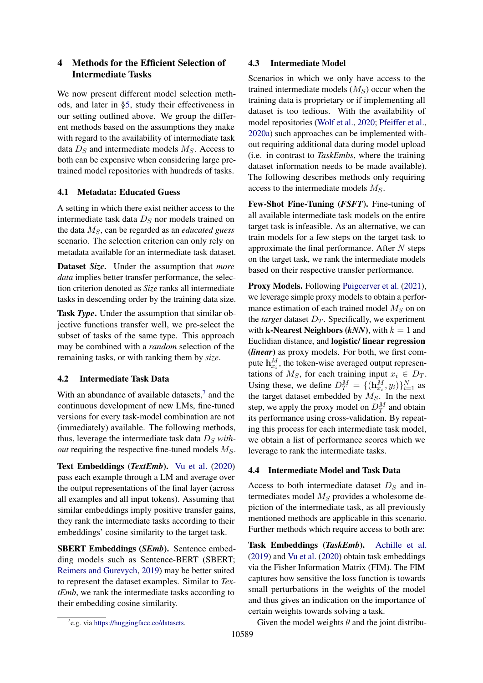## <span id="page-4-1"></span>4 Methods for the Efficient Selection of Intermediate Tasks

We now present different model selection methods, and later in [§5,](#page-5-0) study their effectiveness in our setting outlined above. We group the different methods based on the assumptions they make with regard to the availability of intermediate task data  $D<sub>S</sub>$  and intermediate models  $M<sub>S</sub>$ . Access to both can be expensive when considering large pretrained model repositories with hundreds of tasks.

## 4.1 Metadata: Educated Guess

A setting in which there exist neither access to the intermediate task data  $D<sub>S</sub>$  nor models trained on the data  $M<sub>S</sub>$ , can be regarded as an *educated guess* scenario. The selection criterion can only rely on metadata available for an intermediate task dataset.

Dataset *Size*. Under the assumption that *more data* implies better transfer performance, the selection criterion denoted as *Size* ranks all intermediate tasks in descending order by the training data size.

Task *Type*. Under the assumption that similar objective functions transfer well, we pre-select the subset of tasks of the same type. This approach may be combined with a *random* selection of the remaining tasks, or with ranking them by *size*.

## 4.2 Intermediate Task Data

With an abundance of available datasets, $\frac{7}{1}$  $\frac{7}{1}$  $\frac{7}{1}$  and the continuous development of new LMs, fine-tuned versions for every task-model combination are not (immediately) available. The following methods, thus, leverage the intermediate task data  $D<sub>S</sub>$  *without* requiring the respective fine-tuned models  $M<sub>S</sub>$ .

Text Embeddings (*TextEmb*). [Vu et al.](#page-13-3) [\(2020\)](#page-13-3) pass each example through a LM and average over the output representations of the final layer (across all examples and all input tokens). Assuming that similar embeddings imply positive transfer gains, they rank the intermediate tasks according to their embeddings' cosine similarity to the target task.

SBERT Embeddings (*SEmb*). Sentence embedding models such as Sentence-BERT (SBERT; [Reimers and Gurevych,](#page-12-5) [2019\)](#page-12-5) may be better suited to represent the dataset examples. Similar to *TextEmb*, we rank the intermediate tasks according to their embedding cosine similarity.

## 4.3 Intermediate Model

Scenarios in which we only have access to the trained intermediate models  $(M<sub>S</sub>)$  occur when the training data is proprietary or if implementing all dataset is too tedious. With the availability of model repositories [\(Wolf et al.,](#page-14-0) [2020;](#page-14-0) [Pfeiffer et al.,](#page-11-6) [2020a\)](#page-11-6) such approaches can be implemented without requiring additional data during model upload (i.e. in contrast to *TaskEmbs*, where the training dataset information needs to be made available). The following describes methods only requiring access to the intermediate models  $M<sub>S</sub>$ .

Few-Shot Fine-Tuning (*FSFT*). Fine-tuning of all available intermediate task models on the entire target task is infeasible. As an alternative, we can train models for a few steps on the target task to approximate the final performance. After  $N$  steps on the target task, we rank the intermediate models based on their respective transfer performance.

Proxy Models. Following [Puigcerver et al.](#page-11-7) [\(2021\)](#page-11-7), we leverage simple proxy models to obtain a performance estimation of each trained model  $M_S$  on on the *target* dataset  $D_T$ . Specifically, we experiment with **k-Nearest Neighbors** (*kNN*), with  $k = 1$  and Euclidian distance, and logistic/ linear regression (*linear*) as proxy models. For both, we first compute  $\mathbf{h}_{x_i}^{M}$ , the token-wise averaged output representations of  $M_S$ , for each training input  $x_i \in D_T$ . Using these, we define  $D_T^M = \{(\mathbf{h}_{x_i}^M, y_i)\}_{i=1}^N$  as the target dataset embedded by  $M_S$ . In the next step, we apply the proxy model on  $D_T^M$  and obtain its performance using cross-validation. By repeating this process for each intermediate task model, we obtain a list of performance scores which we leverage to rank the intermediate tasks.

## 4.4 Intermediate Model and Task Data

Access to both intermediate dataset  $D<sub>S</sub>$  and intermediates model  $M<sub>S</sub>$  provides a wholesome depiction of the intermediate task, as all previously mentioned methods are applicable in this scenario. Further methods which require access to both are:

Task Embeddings (*TaskEmb*). [Achille et al.](#page-8-1) [\(2019\)](#page-8-1) and [Vu et al.](#page-13-3) [\(2020\)](#page-13-3) obtain task embeddings via the Fisher Information Matrix (FIM). The FIM captures how sensitive the loss function is towards small perturbations in the weights of the model and thus gives an indication on the importance of certain weights towards solving a task.

Given the model weights  $\theta$  and the joint distribu-

<span id="page-4-0"></span><sup>&</sup>lt;sup>7</sup>e.g. via [https://huggingface.co/datasets.](https://huggingface.co/datasets)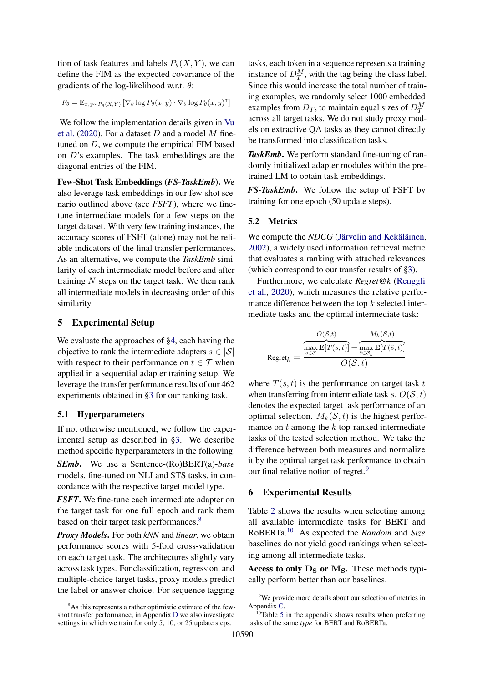tion of task features and labels  $P_{\theta}(X, Y)$ , we can define the FIM as the expected covariance of the gradients of the log-likelihood w.r.t.  $\theta$ :

$$
F_{\theta} = \mathbb{E}_{x, y \sim P_{\theta}(X, Y)} \left[ \nabla_{\theta} \log P_{\theta}(x, y) \cdot \nabla_{\theta} \log P_{\theta}(x, y)^{\mathsf{T}} \right]
$$

We follow the implementation details given in [Vu](#page-13-3) [et al.](#page-13-3) [\(2020\)](#page-13-3). For a dataset  $D$  and a model  $M$  finetuned on D, we compute the empirical FIM based on D's examples. The task embeddings are the diagonal entries of the FIM.

Few-Shot Task Embeddings (*FS-TaskEmb*). We also leverage task embeddings in our few-shot scenario outlined above (see *FSFT*), where we finetune intermediate models for a few steps on the target dataset. With very few training instances, the accuracy scores of FSFT (alone) may not be reliable indicators of the final transfer performances. As an alternative, we compute the *TaskEmb* similarity of each intermediate model before and after training  $N$  steps on the target task. We then rank all intermediate models in decreasing order of this similarity.

## <span id="page-5-0"></span>5 Experimental Setup

We evaluate the approaches of  $\S 4$ , each having the objective to rank the intermediate adapters  $s \in |\mathcal{S}|$ with respect to their performance on  $t \in \mathcal{T}$  when applied in a sequential adapter training setup. We leverage the transfer performance results of our 462 experiments obtained in [§3](#page-2-4) for our ranking task.

## 5.1 Hyperparameters

If not otherwise mentioned, we follow the experimental setup as described in [§3.](#page-2-4) We describe method specific hyperparameters in the following.

*SEmb*. We use a Sentence-(Ro)BERT(a)-*base* models, fine-tuned on NLI and STS tasks, in concordance with the respective target model type.

*FSFT*. We fine-tune each intermediate adapter on the target task for one full epoch and rank them based on their target task performances.<sup>[8](#page-5-1)</sup>

*Proxy Models*. For both *kNN* and *linear*, we obtain performance scores with 5-fold cross-validation on each target task. The architectures slightly vary across task types. For classification, regression, and multiple-choice target tasks, proxy models predict the label or answer choice. For sequence tagging

tasks, each token in a sequence represents a training instance of  $D_T^M$ , with the tag being the class label. Since this would increase the total number of training examples, we randomly select 1000 embedded examples from  $D_T$ , to maintain equal sizes of  $D_T^M$ across all target tasks. We do not study proxy models on extractive QA tasks as they cannot directly be transformed into classification tasks.

*TaskEmb*. We perform standard fine-tuning of randomly initialized adapter modules within the pretrained LM to obtain task embeddings.

*FS-TaskEmb*. We follow the setup of FSFT by training for one epoch (50 update steps).

#### 5.2 Metrics

We compute the *NDCG* [\(Järvelin and Kekäläinen,](#page-10-6) [2002\)](#page-10-6), a widely used information retrieval metric that evaluates a ranking with attached relevances (which correspond to our transfer results of [§3\)](#page-2-4).

Furthermore, we calculate *Regret@k* [\(Renggli](#page-12-4) [et al.,](#page-12-4) [2020\)](#page-12-4), which measures the relative performance difference between the top  $k$  selected intermediate tasks and the optimal intermediate task:

$$
\text{Regret}_{k} = \frac{\overbrace{\max_{s \in \mathcal{S}} \mathbf{E}[T(s,t)]}^{O(\mathcal{S},t)} - \overbrace{\max_{s \in \mathcal{S}_{k}} \mathbf{E}[T(\hat{s},t)]}^{M_{k}(\mathcal{S},t)}}{O(\mathcal{S},t)}
$$

where  $T(s, t)$  is the performance on target task t when transferring from intermediate task s.  $O(S, t)$ denotes the expected target task performance of an optimal selection.  $M_k(S, t)$  is the highest performance on  $t$  among the  $k$  top-ranked intermediate tasks of the tested selection method. We take the difference between both measures and normalize it by the optimal target task performance to obtain our final relative notion of regret.<sup>[9](#page-5-2)</sup>

## <span id="page-5-4"></span>6 Experimental Results

Table [2](#page-6-0) shows the results when selecting among all available intermediate tasks for BERT and RoBERTa.[10](#page-5-3) As expected the *Random* and *Size* baselines do not yield good rankings when selecting among all intermediate tasks.

Access to only  $D_S$  or  $M_S$ . These methods typically perform better than our baselines.

<span id="page-5-1"></span><sup>8</sup>As this represents a rather optimistic estimate of the fewshot transfer performance, in Appendix [D](#page-16-0) we also investigate settings in which we train for only 5, 10, or 25 update steps.

<span id="page-5-2"></span><sup>&</sup>lt;sup>9</sup>We provide more details about our selection of metrics in Appendix [C.](#page-15-0)

<span id="page-5-3"></span> $10$ Table [5](#page-17-0) in the appendix shows results when preferring tasks of the same *type* for BERT and RoBERTa.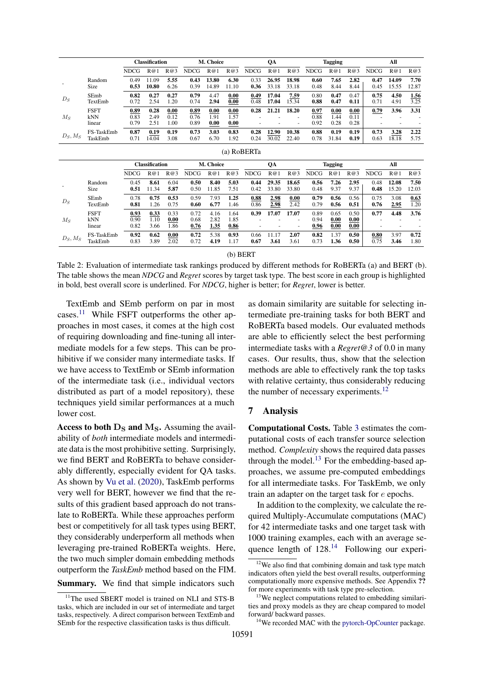<span id="page-6-0"></span>

|            |                              |                      | <b>Classification</b><br>M. Choice |                      |                      | QA                   |                      | <b>Tagging</b> |                |                | All                  |                      |                      |              |                |               |
|------------|------------------------------|----------------------|------------------------------------|----------------------|----------------------|----------------------|----------------------|----------------|----------------|----------------|----------------------|----------------------|----------------------|--------------|----------------|---------------|
|            |                              | <b>NDCG</b>          | R@1                                | R@3                  | <b>NDCG</b>          | R@1                  | R@3                  | <b>NDCG</b>    | R@1            | R@3            | <b>NDCG</b>          | R@1                  | R@3                  | <b>NDCG</b>  | R@1            | R@3           |
|            | Random<br>Size               | 0.49<br>0.53         | 11.09<br>10.80                     | 5.55<br>6.26         | 0.43<br>0.39         | 13.80<br>14.89       | 6.30<br>11.10        | 0.33<br>0.36   | 26.95<br>33.18 | 18.98<br>33.18 | 0.60<br>0.48         | 7.65<br>8.44         | 2.82<br>8.44         | 0.47<br>0.45 | 14.09<br>15.55 | 7.70<br>12.87 |
| $D_S$      | SEmb<br>TextEmb              | 0.82<br>0.72         | 0.27<br>2.54                       | 0.27<br>1.20         | 0.79<br>0.74         | 4.47<br>2.94         | 0.00<br>0.00         | 0.49<br>0.48   | 17.04<br>17.04 | 7.59<br>15.34  | 0.80<br>0.88         | 0.47<br>0.47         | 0.47<br>0.11         | 0.75<br>0.71 | 4.50<br>4.91   | 1.56<br>3.25  |
| $M_S$      | <b>FSFT</b><br>kNN<br>linear | 0.89<br>0.83<br>0.79 | 0.28<br>2.49<br>2.51               | 0.00<br>0.12<br>1.00 | 0.89<br>0.76<br>0.89 | 0.00<br>1.91<br>0.00 | 0.00<br>1.57<br>0.00 | 0.28           | 21.21          | 18.20          | 0.97<br>0.88<br>0.92 | 0.00<br>1.44<br>0.28 | 0.00<br>0.11<br>0.28 | 0.79         | 3.96           | 3.31          |
| $D_S, M_S$ | FS-TaskEmb<br>TaskEmb        | 0.87<br>0.71         | 0.19<br>14.04                      | 0.19<br>3.08         | 0.73<br>0.67         | 3.03<br>6.70         | 0.83<br>1.92         | 0.28<br>0.24   | 12.90<br>30.02 | 10.38<br>22.40 | 0.88<br>0.78         | 0.19<br>31.84        | 0.19<br>0.19         | 0.73<br>0.63 | 3.28<br>18.18  | 2.22<br>5.75  |
|            |                              |                      |                                    |                      |                      |                      |                      | (a) RoBERTa    |                |                |                      |                      |                      |              |                |               |
|            |                              |                      | <b>Classification</b>              |                      |                      | M. Choice            |                      |                | QA             |                |                      | <b>Tagging</b>       |                      |              | All            |               |
|            |                              | <b>NDCG</b>          | R@1                                | R@3                  | <b>NDCG</b>          | R@1                  | R@3                  | <b>NDCG</b>    | R@1            | R@3            | <b>NDCG</b>          | R@1                  | R@3                  | <b>NDCG</b>  | R@1            | R@3           |
|            | Random<br>Size               | 0.45<br>0.51         | 8.61<br>11.34                      | 6.04<br>5.87         | 0.50<br>0.50         | 8.40<br>11.85        | 5.03<br>7.51         | 0.44<br>0.42   | 29.35<br>33.80 | 18.65<br>33.80 | 0.56<br>0.48         | 7.26<br>9.37         | 2.95<br>9.37         | 0.48<br>0.48 | 12.08<br>15.20 | 7.50<br>12.03 |
| $D_S$      | SEmb<br>TextEmb              | 0.78<br>0.81         | 0.75<br>1.26                       | 0.53<br>0.75         | 0.59<br>0.60         | 7.93<br>6.77         | 1.25<br>1.46         | 0.88<br>0.86   | 2.98<br>2.98   | 0.00<br>2.42   | 0.79<br>0.79         | 0.56<br>0.56         | 0.56<br>0.51         | 0.75<br>0.76 | 3.08<br>2.95   | 0.63<br>1.20  |
| $M_{S}$    | <b>FSFT</b><br>kNN<br>linear | 0.93<br>0.90<br>0.82 | 0.33<br>1.10<br>3.66               | 0.33<br>0.00<br>1.86 | 0.72<br>0.68<br>0.76 | 4.16<br>2.82<br>1.35 | 1.64<br>1.85<br>0.86 | 0.39           | 17.07          | 17.07          | 0.89<br>0.94<br>0.96 | 0.65<br>0.00<br>0.00 | 0.50<br>0.00<br>0.00 | 0.77         | 4.48           | 3.76          |
| $D_S, M_S$ | FS-TaskEmb<br>TaskEmb        | 0.92<br>0.83         | 0.62<br>3.89                       | 0.00<br>2.02         | 0.72<br>0.72         | 5.38<br>4.19         | 0.93<br>1.17         | 0.66<br>0.67   | 11.17<br>3.61  | 2.07<br>3.61   | 0.82<br>0.73         | 1.37<br>1.36         | 0.50<br>0.50         | 0.80<br>0.75 | 3.97<br>3.46   | 0.72<br>1.80  |

(b) BERT

Table 2: Evaluation of intermediate task rankings produced by different methods for RoBERTa (a) and BERT (b). The table shows the mean *NDCG* and *Regret* scores by target task type. The best score in each group is highlighted in bold, best overall score is underlined. For *NDCG*, higher is better; for *Regret*, lower is better.

TextEmb and SEmb perform on par in most cases.[11](#page-6-1) While FSFT outperforms the other approaches in most cases, it comes at the high cost of requiring downloading and fine-tuning all intermediate models for a few steps. This can be prohibitive if we consider many intermediate tasks. If we have access to TextEmb or SEmb information of the intermediate task (i.e., individual vectors distributed as part of a model repository), these techniques yield similar performances at a much lower cost.

Access to both  $D<sub>S</sub>$  and  $M<sub>S</sub>$ . Assuming the availability of *both* intermediate models and intermediate data is the most prohibitive setting. Surprisingly, we find BERT and RoBERTa to behave considerably differently, especially evident for QA tasks. As shown by [Vu et al.](#page-13-3) [\(2020\)](#page-13-3), TaskEmb performs very well for BERT, however we find that the results of this gradient based approach do not translate to RoBERTa. While these approaches perform best or competitively for all task types using BERT, they considerably underperform all methods when leveraging pre-trained RoBERTa weights. Here, the two much simpler domain embedding methods outperform the *TaskEmb* method based on the FIM.

Summary. We find that simple indicators such

as domain similarity are suitable for selecting intermediate pre-training tasks for both BERT and RoBERTa based models. Our evaluated methods are able to efficiently select the best performing intermediate tasks with a *Regret@3* of 0.0 in many cases. Our results, thus, show that the selection methods are able to effectively rank the top tasks with relative certainty, thus considerably reducing the number of necessary experiments.<sup>[12](#page-6-2)</sup>

## 7 Analysis

Computational Costs. Table [3](#page-7-0) estimates the computational costs of each transfer source selection method. *Complexity* shows the required data passes through the model.<sup>[13](#page-6-3)</sup> For the embedding-based approaches, we assume pre-computed embeddings for all intermediate tasks. For TaskEmb, we only train an adapter on the target task for e epochs.

In addition to the complexity, we calculate the required Multiply-Accumulate computations (MAC) for 42 intermediate tasks and one target task with 1000 training examples, each with an average sequence length of  $128^{14}$  $128^{14}$  $128^{14}$  Following our experi-

<span id="page-6-1"></span><sup>&</sup>lt;sup>11</sup>The used SBERT model is trained on NLI and STS-B tasks, which are included in our set of intermediate and target tasks, respectively. A direct comparison between TextEmb and SEmb for the respective classification tasks is thus difficult.

<span id="page-6-2"></span><sup>&</sup>lt;sup>12</sup>We also find that combining domain and task type match indicators often yield the best overall results, outperforming computationally more expensive methods. See Appendix ?? for more experiments with task type pre-selection.

<span id="page-6-3"></span><sup>&</sup>lt;sup>13</sup>We neglect computations related to embedding similarities and proxy models as they are cheap compared to model forward/ backward passes.

<span id="page-6-4"></span><sup>&</sup>lt;sup>14</sup>We recorded MAC with the [pytorch-OpCounter](https://github.com/Lyken17/pytorch-OpCounter/) package.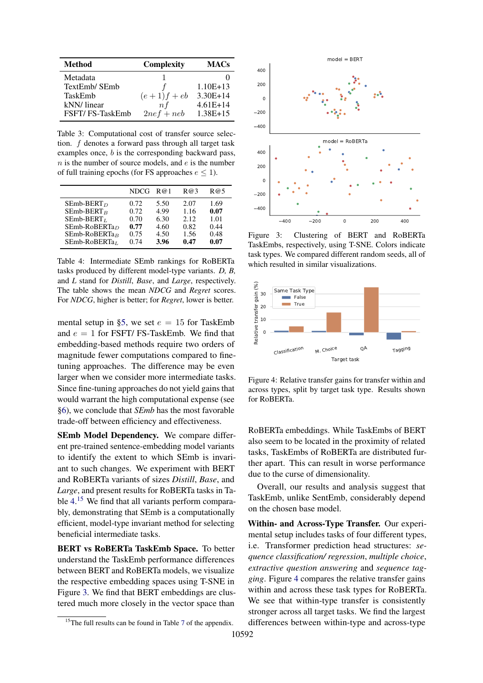<span id="page-7-0"></span>

| <b>Method</b>   | <b>Complexity</b> | <b>MACs</b> |
|-----------------|-------------------|-------------|
| Metadata        |                   |             |
| TextEmb/ SEmb   |                   | $1.10E+13$  |
| TaskEmb         | $(e+1)f+eb$       | $3.30E+14$  |
| kNN/linear      | n f               | $4.61E+14$  |
| FSFT/FS-TaskEmb | $2nef + neb$      | $1.38E+15$  |

Table 3: Computational cost of transfer source selection. f denotes a forward pass through all target task examples once, b is the corresponding backward pass,  $n$  is the number of source models, and  $e$  is the number of full training epochs (for FS approaches  $e \leq 1$ ).

<span id="page-7-1"></span>

|                  | NDCG | R@1  | R@3   | R@5  |
|------------------|------|------|-------|------|
| $SEmb-BERT_D$    | 0.72 | 5.50 | 2.07  | 1.69 |
| $SEmb-BERTB$     | 0.72 | 4.99 | 1.16  | 0.07 |
| $SEmb-BERTL$     | 0.70 | 6.30 | 2.12. | 1.01 |
| $SEmb-RoBERTa_D$ | 0.77 | 4.60 | 0.82  | 0.44 |
| $SEmb-RoBERTaB$  | 0.75 | 4.50 | 1.56  | 0.48 |
| $SEmb-RoBERTaL$  | 0.74 | 3.96 | 0.47  | 0.07 |

Table 4: Intermediate SEmb rankings for RoBERTa tasks produced by different model-type variants. *D, B,* and *L* stand for *Distill*, *Base*, and *Large*, respectively. The table shows the mean *NDCG* and *Regret* scores. For *NDCG*, higher is better; for *Regret*, lower is better.

mental setup in [§5,](#page-5-0) we set  $e = 15$  for TaskEmb and  $e = 1$  for FSFT/ FS-TaskEmb. We find that embedding-based methods require two orders of magnitude fewer computations compared to finetuning approaches. The difference may be even larger when we consider more intermediate tasks. Since fine-tuning approaches do not yield gains that would warrant the high computational expense (see [§6\)](#page-5-4), we conclude that *SEmb* has the most favorable trade-off between efficiency and effectiveness.

SEmb Model Dependency. We compare different pre-trained sentence-embedding model variants to identify the extent to which SEmb is invariant to such changes. We experiment with BERT and RoBERTa variants of sizes *Distill*, *Base*, and *Large*, and present results for RoBERTa tasks in Table [4.](#page-7-1) [15](#page-7-2) We find that all variants perform comparably, demonstrating that SEmb is a computationally efficient, model-type invariant method for selecting beneficial intermediate tasks.

BERT vs RoBERTa TaskEmb Space. To better understand the TaskEmb performance differences between BERT and RoBERTa models, we visualize the respective embedding spaces using T-SNE in Figure [3.](#page-7-3) We find that BERT embeddings are clustered much more closely in the vector space than

<span id="page-7-3"></span>

Figure 3: Clustering of BERT and RoBERTa TaskEmbs, respectively, using T-SNE. Colors indicate task types. We compared different random seeds, all of which resulted in similar visualizations.

<span id="page-7-4"></span>

Figure 4: Relative transfer gains for transfer within and across types, split by target task type. Results shown for RoBERTa.

RoBERTa embeddings. While TaskEmbs of BERT also seem to be located in the proximity of related tasks, TaskEmbs of RoBERTa are distributed further apart. This can result in worse performance due to the curse of dimensionality.

Overall, our results and analysis suggest that TaskEmb, unlike SentEmb, considerably depend on the chosen base model.

Within- and Across-Type Transfer. Our experimental setup includes tasks of four different types, i.e. Transformer prediction head structures: *sequence classification/ regression*, *multiple choice*, *extractive question answering* and *sequence tagging*. Figure [4](#page-7-4) compares the relative transfer gains within and across these task types for RoBERTa. We see that within-type transfer is consistently stronger across all target tasks. We find the largest differences between within-type and across-type

<span id="page-7-2"></span><sup>&</sup>lt;sup>15</sup>The full results can be found in Table [7](#page-17-1) of the appendix.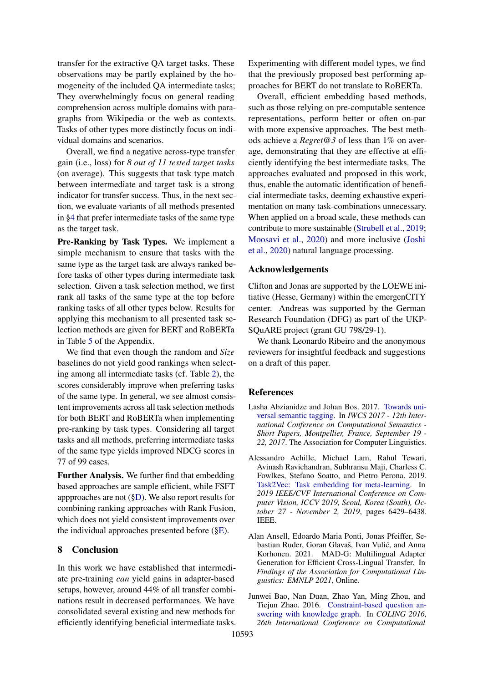transfer for the extractive QA target tasks. These observations may be partly explained by the homogeneity of the included QA intermediate tasks; They overwhelmingly focus on general reading comprehension across multiple domains with paragraphs from Wikipedia or the web as contexts. Tasks of other types more distinctly focus on individual domains and scenarios.

Overall, we find a negative across-type transfer gain (i.e., loss) for *8 out of 11 tested target tasks* (on average). This suggests that task type match between intermediate and target task is a strong indicator for transfer success. Thus, in the next section, we evaluate variants of all methods presented in [§4](#page-4-1) that prefer intermediate tasks of the same type as the target task.

Pre-Ranking by Task Types. We implement a simple mechanism to ensure that tasks with the same type as the target task are always ranked before tasks of other types during intermediate task selection. Given a task selection method, we first rank all tasks of the same type at the top before ranking tasks of all other types below. Results for applying this mechanism to all presented task selection methods are given for BERT and RoBERTa in Table [5](#page-17-0) of the Appendix.

We find that even though the random and *Size* baselines do not yield good rankings when selecting among all intermediate tasks (cf. Table [2\)](#page-6-0), the scores considerably improve when preferring tasks of the same type. In general, we see almost consistent improvements across all task selection methods for both BERT and RoBERTa when implementing pre-ranking by task types. Considering all target tasks and all methods, preferring intermediate tasks of the same type yields improved NDCG scores in 77 of 99 cases.

Further Analysis. We further find that embedding based approaches are sample efficient, while FSFT appproaches are not ([§D\)](#page-16-0). We also report results for combining ranking approaches with Rank Fusion, which does not yield consistent improvements over the individual approaches presented before ([§E\)](#page-16-1).

## 8 Conclusion

In this work we have established that intermediate pre-training *can* yield gains in adapter-based setups, however, around 44% of all transfer combinations result in decreased performances. We have consolidated several existing and new methods for efficiently identifying beneficial intermediate tasks. Experimenting with different model types, we find that the previously proposed best performing approaches for BERT do not translate to RoBERTa.

Overall, efficient embedding based methods, such as those relying on pre-computable sentence representations, perform better or often on-par with more expensive approaches. The best methods achieve a *Regret@3* of less than 1% on average, demonstrating that they are effective at efficiently identifying the best intermediate tasks. The approaches evaluated and proposed in this work, thus, enable the automatic identification of beneficial intermediate tasks, deeming exhaustive experimentation on many task-combinations unnecessary. When applied on a broad scale, these methods can contribute to more sustainable [\(Strubell et al.,](#page-13-7) [2019;](#page-13-7) [Moosavi et al.,](#page-11-10) [2020\)](#page-11-10) and more inclusive [\(Joshi](#page-10-7) [et al.,](#page-10-7) [2020\)](#page-10-7) natural language processing.

## Acknowledgements

Clifton and Jonas are supported by the LOEWE initiative (Hesse, Germany) within the emergenCITY center. Andreas was supported by the German Research Foundation (DFG) as part of the UKP-SQuARE project (grant GU 798/29-1).

We thank Leonardo Ribeiro and the anonymous reviewers for insightful feedback and suggestions on a draft of this paper.

## References

- <span id="page-8-2"></span>Lasha Abzianidze and Johan Bos. 2017. [Towards uni](https://www.aclweb.org/anthology/W17-6901/)[versal semantic tagging.](https://www.aclweb.org/anthology/W17-6901/) In *IWCS 2017 - 12th International Conference on Computational Semantics - Short Papers, Montpellier, France, September 19 - 22, 2017*. The Association for Computer Linguistics.
- <span id="page-8-1"></span>Alessandro Achille, Michael Lam, Rahul Tewari, Avinash Ravichandran, Subhransu Maji, Charless C. Fowlkes, Stefano Soatto, and Pietro Perona. 2019. [Task2Vec: Task embedding for meta-learning.](https://doi.org/10.1109/ICCV.2019.00653) In *2019 IEEE/CVF International Conference on Computer Vision, ICCV 2019, Seoul, Korea (South), October 27 - November 2, 2019*, pages 6429–6438. IEEE.
- <span id="page-8-0"></span>Alan Ansell, Edoardo Maria Ponti, Jonas Pfeiffer, Sebastian Ruder, Goran Glavaš, Ivan Vulic, and Anna ´ Korhonen. 2021. MAD-G: Multilingual Adapter Generation for Efficient Cross-Lingual Transfer. In *Findings of the Association for Computational Linguistics: EMNLP 2021*, Online.
- <span id="page-8-3"></span>Junwei Bao, Nan Duan, Zhao Yan, Ming Zhou, and Tiejun Zhao. 2016. [Constraint-based question an](https://www.aclweb.org/anthology/C16-1236/)[swering with knowledge graph.](https://www.aclweb.org/anthology/C16-1236/) In *COLING 2016, 26th International Conference on Computational*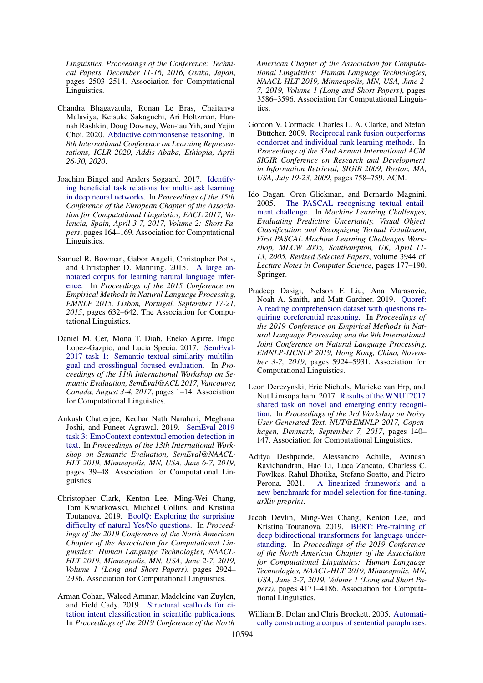*Linguistics, Proceedings of the Conference: Technical Papers, December 11-16, 2016, Osaka, Japan*, pages 2503–2514. Association for Computational Linguistics.

- <span id="page-9-3"></span>Chandra Bhagavatula, Ronan Le Bras, Chaitanya Malaviya, Keisuke Sakaguchi, Ari Holtzman, Hannah Rashkin, Doug Downey, Wen-tau Yih, and Yejin Choi. 2020. [Abductive commonsense reasoning.](https://openreview.net/forum?id=Byg1v1HKDB) In *8th International Conference on Learning Representations, ICLR 2020, Addis Ababa, Ethiopia, April 26-30, 2020*.
- <span id="page-9-1"></span>Joachim Bingel and Anders Søgaard. 2017. [Identify](https://doi.org/10.18653/v1/e17-2026)[ing beneficial task relations for multi-task learning](https://doi.org/10.18653/v1/e17-2026) [in deep neural networks.](https://doi.org/10.18653/v1/e17-2026) In *Proceedings of the 15th Conference of the European Chapter of the Association for Computational Linguistics, EACL 2017, Valencia, Spain, April 3-7, 2017, Volume 2: Short Papers*, pages 164–169. Association for Computational Linguistics.
- <span id="page-9-8"></span>Samuel R. Bowman, Gabor Angeli, Christopher Potts, and Christopher D. Manning. 2015. [A large an](https://doi.org/10.18653/v1/d15-1075)[notated corpus for learning natural language infer](https://doi.org/10.18653/v1/d15-1075)[ence.](https://doi.org/10.18653/v1/d15-1075) In *Proceedings of the 2015 Conference on Empirical Methods in Natural Language Processing, EMNLP 2015, Lisbon, Portugal, September 17-21, 2015*, pages 632–642. The Association for Computational Linguistics.
- <span id="page-9-13"></span>Daniel M. Cer, Mona T. Diab, Eneko Agirre, Iñigo Lopez-Gazpio, and Lucia Specia. 2017. [SemEval-](https://doi.org/10.18653/v1/S17-2001)[2017 task 1: Semantic textual similarity multilin](https://doi.org/10.18653/v1/S17-2001)[gual and crosslingual focused evaluation.](https://doi.org/10.18653/v1/S17-2001) In *Proceedings of the 11th International Workshop on Semantic Evaluation, SemEval@ACL 2017, Vancouver, Canada, August 3-4, 2017*, pages 1–14. Association for Computational Linguistics.
- <span id="page-9-7"></span>Ankush Chatterjee, Kedhar Nath Narahari, Meghana Joshi, and Puneet Agrawal. 2019. [SemEval-2019](https://doi.org/10.18653/v1/s19-2005) [task 3: EmoContext contextual emotion detection in](https://doi.org/10.18653/v1/s19-2005) [text.](https://doi.org/10.18653/v1/s19-2005) In *Proceedings of the 13th International Workshop on Semantic Evaluation, SemEval@NAACL-HLT 2019, Minneapolis, MN, USA, June 6-7, 2019*, pages 39–48. Association for Computational Linguistics.
- <span id="page-9-11"></span>Christopher Clark, Kenton Lee, Ming-Wei Chang, Tom Kwiatkowski, Michael Collins, and Kristina Toutanova. 2019. [BoolQ: Exploring the surprising](https://doi.org/10.18653/v1/n19-1300) [difficulty of natural Yes/No questions.](https://doi.org/10.18653/v1/n19-1300) In *Proceedings of the 2019 Conference of the North American Chapter of the Association for Computational Linguistics: Human Language Technologies, NAACL-HLT 2019, Minneapolis, MN, USA, June 2-7, 2019, Volume 1 (Long and Short Papers)*, pages 2924– 2936. Association for Computational Linguistics.
- <span id="page-9-6"></span>Arman Cohan, Waleed Ammar, Madeleine van Zuylen, and Field Cady. 2019. [Structural scaffolds for ci](https://doi.org/10.18653/v1/n19-1361)[tation intent classification in scientific publications.](https://doi.org/10.18653/v1/n19-1361) In *Proceedings of the 2019 Conference of the North*

*American Chapter of the Association for Computational Linguistics: Human Language Technologies, NAACL-HLT 2019, Minneapolis, MN, USA, June 2- 7, 2019, Volume 1 (Long and Short Papers)*, pages 3586–3596. Association for Computational Linguistics.

- <span id="page-9-4"></span>Gordon V. Cormack, Charles L. A. Clarke, and Stefan Büttcher. 2009. [Reciprocal rank fusion outperforms](https://doi.org/10.1145/1571941.1572114) [condorcet and individual rank learning methods.](https://doi.org/10.1145/1571941.1572114) In *Proceedings of the 32nd Annual International ACM SIGIR Conference on Research and Development in Information Retrieval, SIGIR 2009, Boston, MA, USA, July 19-23, 2009*, pages 758–759. ACM.
- <span id="page-9-12"></span>Ido Dagan, Oren Glickman, and Bernardo Magnini. 2005. [The PASCAL recognising textual entail](https://doi.org/10.1007/11736790\_9)[ment challenge.](https://doi.org/10.1007/11736790\_9) In *Machine Learning Challenges, Evaluating Predictive Uncertainty, Visual Object Classification and Recognizing Textual Entailment, First PASCAL Machine Learning Challenges Workshop, MLCW 2005, Southampton, UK, April 11- 13, 2005, Revised Selected Papers*, volume 3944 of *Lecture Notes in Computer Science*, pages 177–190. Springer.
- <span id="page-9-9"></span>Pradeep Dasigi, Nelson F. Liu, Ana Marasovic, Noah A. Smith, and Matt Gardner. 2019. [Quoref:](https://doi.org/10.18653/v1/D19-1606) [A reading comprehension dataset with questions re](https://doi.org/10.18653/v1/D19-1606)[quiring coreferential reasoning.](https://doi.org/10.18653/v1/D19-1606) In *Proceedings of the 2019 Conference on Empirical Methods in Natural Language Processing and the 9th International Joint Conference on Natural Language Processing, EMNLP-IJCNLP 2019, Hong Kong, China, November 3-7, 2019*, pages 5924–5931. Association for Computational Linguistics.
- <span id="page-9-10"></span>Leon Derczynski, Eric Nichols, Marieke van Erp, and Nut Limsopatham. 2017. [Results of the WNUT2017](https://doi.org/10.18653/v1/w17-4418) [shared task on novel and emerging entity recogni](https://doi.org/10.18653/v1/w17-4418)[tion.](https://doi.org/10.18653/v1/w17-4418) In *Proceedings of the 3rd Workshop on Noisy User-Generated Text, NUT@EMNLP 2017, Copenhagen, Denmark, September 7, 2017*, pages 140– 147. Association for Computational Linguistics.
- <span id="page-9-2"></span>Aditya Deshpande, Alessandro Achille, Avinash Ravichandran, Hao Li, Luca Zancato, Charless C. Fowlkes, Rahul Bhotika, Stefano Soatto, and Pietro Perona. 2021. [A linearized framework and a](http://arxiv.org/abs/2102.00084) [new benchmark for model selection for fine-tuning.](http://arxiv.org/abs/2102.00084) *arXiv preprint*.
- <span id="page-9-0"></span>Jacob Devlin, Ming-Wei Chang, Kenton Lee, and Kristina Toutanova. 2019. [BERT: Pre-training of](https://doi.org/10.18653/v1/n19-1423) [deep bidirectional transformers for language under](https://doi.org/10.18653/v1/n19-1423)[standing.](https://doi.org/10.18653/v1/n19-1423) In *Proceedings of the 2019 Conference of the North American Chapter of the Association for Computational Linguistics: Human Language Technologies, NAACL-HLT 2019, Minneapolis, MN, USA, June 2-7, 2019, Volume 1 (Long and Short Papers)*, pages 4171–4186. Association for Computational Linguistics.
- <span id="page-9-5"></span>William B. Dolan and Chris Brockett. 2005. [Automati](https://www.aclweb.org/anthology/I05-5002/)[cally constructing a corpus of sentential paraphrases.](https://www.aclweb.org/anthology/I05-5002/)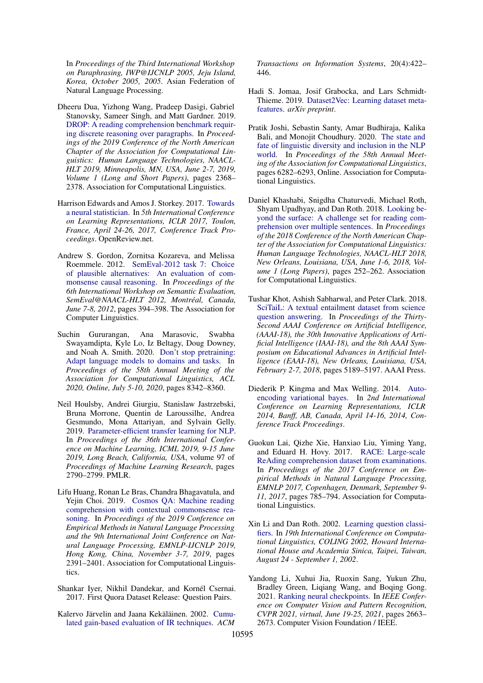In *Proceedings of the Third International Workshop on Paraphrasing, IWP@IJCNLP 2005, Jeju Island, Korea, October 2005, 2005*. Asian Federation of Natural Language Processing.

- <span id="page-10-15"></span>Dheeru Dua, Yizhong Wang, Pradeep Dasigi, Gabriel Stanovsky, Sameer Singh, and Matt Gardner. 2019. [DROP: A reading comprehension benchmark requir](https://doi.org/10.18653/v1/n19-1246)[ing discrete reasoning over paragraphs.](https://doi.org/10.18653/v1/n19-1246) In *Proceedings of the 2019 Conference of the North American Chapter of the Association for Computational Linguistics: Human Language Technologies, NAACL-HLT 2019, Minneapolis, MN, USA, June 2-7, 2019, Volume 1 (Long and Short Papers)*, pages 2368– 2378. Association for Computational Linguistics.
- <span id="page-10-3"></span>Harrison Edwards and Amos J. Storkey. 2017. [Towards](https://openreview.net/forum?id=HJDBUF5le) [a neural statistician.](https://openreview.net/forum?id=HJDBUF5le) In *5th International Conference on Learning Representations, ICLR 2017, Toulon, France, April 24-26, 2017, Conference Track Proceedings*. OpenReview.net.
- <span id="page-10-14"></span>Andrew S. Gordon, Zornitsa Kozareva, and Melissa Roemmele. 2012. [SemEval-2012 task 7: Choice](https://www.aclweb.org/anthology/S12-1052/) [of plausible alternatives: An evaluation of com](https://www.aclweb.org/anthology/S12-1052/)[monsense causal reasoning.](https://www.aclweb.org/anthology/S12-1052/) In *Proceedings of the 6th International Workshop on Semantic Evaluation, SemEval@NAACL-HLT 2012, Montréal, Canada, June 7-8, 2012*, pages 394–398. The Association for Computer Linguistics.
- <span id="page-10-1"></span>Suchin Gururangan, Ana Marasovic, Swabha Swayamdipta, Kyle Lo, Iz Beltagy, Doug Downey, and Noah A. Smith. 2020. [Don't stop pretraining:](https://doi.org/10.18653/v1/2020.acl-main.740) [Adapt language models to domains and tasks.](https://doi.org/10.18653/v1/2020.acl-main.740) In *Proceedings of the 58th Annual Meeting of the Association for Computational Linguistics, ACL 2020, Online, July 5-10, 2020*, pages 8342–8360.
- <span id="page-10-0"></span>Neil Houlsby, Andrei Giurgiu, Stanislaw Jastrzebski, Bruna Morrone, Quentin de Laroussilhe, Andrea Gesmundo, Mona Attariyan, and Sylvain Gelly. 2019. [Parameter-efficient transfer learning for NLP.](http://proceedings.mlr.press/v97/houlsby19a.html) In *Proceedings of the 36th International Conference on Machine Learning, ICML 2019, 9-15 June 2019, Long Beach, California, USA*, volume 97 of *Proceedings of Machine Learning Research*, pages 2790–2799. PMLR.
- <span id="page-10-12"></span>Lifu Huang, Ronan Le Bras, Chandra Bhagavatula, and Yejin Choi. 2019. [Cosmos QA: Machine reading](https://doi.org/10.18653/v1/D19-1243) [comprehension with contextual commonsense rea](https://doi.org/10.18653/v1/D19-1243)[soning.](https://doi.org/10.18653/v1/D19-1243) In *Proceedings of the 2019 Conference on Empirical Methods in Natural Language Processing and the 9th International Joint Conference on Natural Language Processing, EMNLP-IJCNLP 2019, Hong Kong, China, November 3-7, 2019*, pages 2391–2401. Association for Computational Linguistics.
- <span id="page-10-11"></span>Shankar Iyer, Nikhil Dandekar, and Kornél Csernai. 2017. First Quora Dataset Release: Question Pairs.
- <span id="page-10-6"></span>Kalervo Järvelin and Jaana Kekäläinen. 2002. [Cumu](https://doi.org/10.1145/582415.582418)[lated gain-based evaluation of IR techniques.](https://doi.org/10.1145/582415.582418) *ACM*

*Transactions on Information Systems*, 20(4):422– 446.

- <span id="page-10-5"></span>Hadi S. Jomaa, Josif Grabocka, and Lars Schmidt-Thieme. 2019. [Dataset2Vec: Learning dataset meta](http://arxiv.org/abs/1905.11063)[features.](http://arxiv.org/abs/1905.11063) *arXiv preprint*.
- <span id="page-10-7"></span>Pratik Joshi, Sebastin Santy, Amar Budhiraja, Kalika Bali, and Monojit Choudhury. 2020. [The state and](https://doi.org/10.18653/v1/2020.acl-main.560) [fate of linguistic diversity and inclusion in the NLP](https://doi.org/10.18653/v1/2020.acl-main.560) [world.](https://doi.org/10.18653/v1/2020.acl-main.560) In *Proceedings of the 58th Annual Meeting of the Association for Computational Linguistics*, pages 6282–6293, Online. Association for Computational Linguistics.
- <span id="page-10-9"></span>Daniel Khashabi, Snigdha Chaturvedi, Michael Roth, Shyam Upadhyay, and Dan Roth. 2018. [Looking be](https://doi.org/10.18653/v1/n18-1023)[yond the surface: A challenge set for reading com](https://doi.org/10.18653/v1/n18-1023)[prehension over multiple sentences.](https://doi.org/10.18653/v1/n18-1023) In *Proceedings of the 2018 Conference of the North American Chapter of the Association for Computational Linguistics: Human Language Technologies, NAACL-HLT 2018, New Orleans, Louisiana, USA, June 1-6, 2018, Volume 1 (Long Papers)*, pages 252–262. Association for Computational Linguistics.
- <span id="page-10-10"></span>Tushar Khot, Ashish Sabharwal, and Peter Clark. 2018. [SciTaiL: A textual entailment dataset from science](https://www.aaai.org/ocs/index.php/AAAI/AAAI18/paper/view/17368) [question answering.](https://www.aaai.org/ocs/index.php/AAAI/AAAI18/paper/view/17368) In *Proceedings of the Thirty-Second AAAI Conference on Artificial Intelligence, (AAAI-18), the 30th Innovative Applications of Artificial Intelligence (IAAI-18), and the 8th AAAI Symposium on Educational Advances in Artificial Intelligence (EAAI-18), New Orleans, Louisiana, USA, February 2-7, 2018*, pages 5189–5197. AAAI Press.
- <span id="page-10-4"></span>Diederik P. Kingma and Max Welling. 2014. [Auto](http://arxiv.org/abs/1312.6114)[encoding variational bayes.](http://arxiv.org/abs/1312.6114) In *2nd International Conference on Learning Representations, ICLR 2014, Banff, AB, Canada, April 14-16, 2014, Conference Track Proceedings*.
- <span id="page-10-13"></span>Guokun Lai, Qizhe Xie, Hanxiao Liu, Yiming Yang, and Eduard H. Hovy. 2017. [RACE: Large-scale](https://doi.org/10.18653/v1/d17-1082) [ReAding comprehension dataset from examinations.](https://doi.org/10.18653/v1/d17-1082) In *Proceedings of the 2017 Conference on Empirical Methods in Natural Language Processing, EMNLP 2017, Copenhagen, Denmark, September 9- 11, 2017*, pages 785–794. Association for Computational Linguistics.
- <span id="page-10-8"></span>Xin Li and Dan Roth. 2002. [Learning question classi](https://www.aclweb.org/anthology/C02-1150/)[fiers.](https://www.aclweb.org/anthology/C02-1150/) In *19th International Conference on Computational Linguistics, COLING 2002, Howard International House and Academia Sinica, Taipei, Taiwan, August 24 - September 1, 2002*.
- <span id="page-10-2"></span>Yandong Li, Xuhui Jia, Ruoxin Sang, Yukun Zhu, Bradley Green, Liqiang Wang, and Boqing Gong. 2021. [Ranking neural checkpoints.](https://openaccess.thecvf.com/content/CVPR2021/html/Li_Ranking_Neural_Checkpoints_CVPR_2021_paper.html) In *IEEE Conference on Computer Vision and Pattern Recognition, CVPR 2021, virtual, June 19-25, 2021*, pages 2663– 2673. Computer Vision Foundation / IEEE.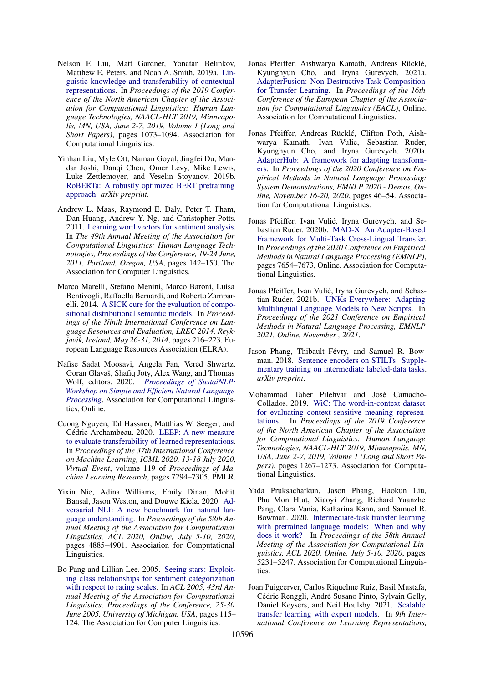- <span id="page-11-8"></span>Nelson F. Liu, Matt Gardner, Yonatan Belinkov, Matthew E. Peters, and Noah A. Smith. 2019a. [Lin](https://doi.org/10.18653/v1/n19-1112)[guistic knowledge and transferability of contextual](https://doi.org/10.18653/v1/n19-1112) [representations.](https://doi.org/10.18653/v1/n19-1112) In *Proceedings of the 2019 Conference of the North American Chapter of the Association for Computational Linguistics: Human Language Technologies, NAACL-HLT 2019, Minneapolis, MN, USA, June 2-7, 2019, Volume 1 (Long and Short Papers)*, pages 1073–1094. Association for Computational Linguistics.
- <span id="page-11-0"></span>Yinhan Liu, Myle Ott, Naman Goyal, Jingfei Du, Mandar Joshi, Danqi Chen, Omer Levy, Mike Lewis, Luke Zettlemoyer, and Veselin Stoyanov. 2019b. [RoBERTa: A robustly optimized BERT pretraining](http://arxiv.org/abs/1907.11692) [approach.](http://arxiv.org/abs/1907.11692) *arXiv preprint*.
- <span id="page-11-13"></span>Andrew L. Maas, Raymond E. Daly, Peter T. Pham, Dan Huang, Andrew Y. Ng, and Christopher Potts. 2011. [Learning word vectors for sentiment analysis.](https://www.aclweb.org/anthology/P11-1015/) In *The 49th Annual Meeting of the Association for Computational Linguistics: Human Language Technologies, Proceedings of the Conference, 19-24 June, 2011, Portland, Oregon, USA*, pages 142–150. The Association for Computer Linguistics.
- <span id="page-11-11"></span>Marco Marelli, Stefano Menini, Marco Baroni, Luisa Bentivogli, Raffaella Bernardi, and Roberto Zamparelli. 2014. [A SICK cure for the evaluation of compo](http://www.lrec-conf.org/proceedings/lrec2014/summaries/363.html)[sitional distributional semantic models.](http://www.lrec-conf.org/proceedings/lrec2014/summaries/363.html) In *Proceedings of the Ninth International Conference on Language Resources and Evaluation, LREC 2014, Reykjavik, Iceland, May 26-31, 2014*, pages 216–223. European Language Resources Association (ELRA).
- <span id="page-11-10"></span>Nafise Sadat Moosavi, Angela Fan, Vered Shwartz, Goran Glavaš, Shafiq Joty, Alex Wang, and Thomas Wolf, editors. 2020. *[Proceedings of SustaiNLP:](https://www.aclweb.org/anthology/2020.sustainlp-1.0) [Workshop on Simple and Efficient Natural Language](https://www.aclweb.org/anthology/2020.sustainlp-1.0) [Processing](https://www.aclweb.org/anthology/2020.sustainlp-1.0)*. Association for Computational Linguistics, Online.
- <span id="page-11-9"></span>Cuong Nguyen, Tal Hassner, Matthias W. Seeger, and Cédric Archambeau. 2020. [LEEP: A new measure](http://proceedings.mlr.press/v119/nguyen20b.html) [to evaluate transferability of learned representations.](http://proceedings.mlr.press/v119/nguyen20b.html) In *Proceedings of the 37th International Conference on Machine Learning, ICML 2020, 13-18 July 2020, Virtual Event*, volume 119 of *Proceedings of Machine Learning Research*, pages 7294–7305. PMLR.
- <span id="page-11-14"></span>Yixin Nie, Adina Williams, Emily Dinan, Mohit Bansal, Jason Weston, and Douwe Kiela. 2020. [Ad](https://doi.org/10.18653/v1/2020.acl-main.441)[versarial NLI: A new benchmark for natural lan](https://doi.org/10.18653/v1/2020.acl-main.441)[guage understanding.](https://doi.org/10.18653/v1/2020.acl-main.441) In *Proceedings of the 58th Annual Meeting of the Association for Computational Linguistics, ACL 2020, Online, July 5-10, 2020*, pages 4885–4901. Association for Computational Linguistics.
- <span id="page-11-15"></span>Bo Pang and Lillian Lee. 2005. [Seeing stars: Exploit](https://doi.org/10.3115/1219840.1219855)[ing class relationships for sentiment categorization](https://doi.org/10.3115/1219840.1219855) [with respect to rating scales.](https://doi.org/10.3115/1219840.1219855) In *ACL 2005, 43rd Annual Meeting of the Association for Computational Linguistics, Proceedings of the Conference, 25-30 June 2005, University of Michigan, USA*, pages 115– 124. The Association for Computer Linguistics.
- <span id="page-11-2"></span>Jonas Pfeiffer, Aishwarya Kamath, Andreas Rücklé, Kyunghyun Cho, and Iryna Gurevych. 2021a. [AdapterFusion: Non-Destructive Task Composition](https://arxiv.org/abs/2005.00247) [for Transfer Learning.](https://arxiv.org/abs/2005.00247) In *Proceedings of the 16th Conference of the European Chapter of the Association for Computational Linguistics (EACL)*, Online. Association for Computational Linguistics.
- <span id="page-11-6"></span>Jonas Pfeiffer, Andreas Rücklé, Clifton Poth, Aishwarya Kamath, Ivan Vulic, Sebastian Ruder, Kyunghyun Cho, and Iryna Gurevych. 2020a. [AdapterHub: A framework for adapting transform](https://doi.org/10.18653/v1/2020.emnlp-demos.7)[ers.](https://doi.org/10.18653/v1/2020.emnlp-demos.7) In *Proceedings of the 2020 Conference on Empirical Methods in Natural Language Processing: System Demonstrations, EMNLP 2020 - Demos, Online, November 16-20, 2020*, pages 46–54. Association for Computational Linguistics.
- <span id="page-11-1"></span>Jonas Pfeiffer, Ivan Vulić, Iryna Gurevych, and Sebastian Ruder. 2020b. [MAD-X: An Adapter-Based](https://www.aclweb.org/anthology/2020.emnlp-main.617) [Framework for Multi-Task Cross-Lingual Transfer.](https://www.aclweb.org/anthology/2020.emnlp-main.617) In *Proceedings of the 2020 Conference on Empirical Methods in Natural Language Processing (EMNLP)*, pages 7654–7673, Online. Association for Computational Linguistics.
- <span id="page-11-3"></span>Jonas Pfeiffer, Ivan Vulić, Iryna Gurevych, and Sebastian Ruder. 2021b. [UNKs Everywhere: Adapting](http://arxiv.org/abs/2012.15562) [Multilingual Language Models to New Scripts.](http://arxiv.org/abs/2012.15562) In *Proceedings of the 2021 Conference on Empirical Methods in Natural Language Processing, EMNLP 2021, Online, November , 2021*.
- <span id="page-11-4"></span>Jason Phang, Thibault Févry, and Samuel R. Bowman. 2018. [Sentence encoders on STILTs: Supple](http://arxiv.org/abs/1811.01088)[mentary training on intermediate labeled-data tasks.](http://arxiv.org/abs/1811.01088) *arXiv preprint*.
- <span id="page-11-12"></span>Mohammad Taher Pilehvar and José Camacho-Collados. 2019. [WiC: The word-in-context dataset](https://doi.org/10.18653/v1/n19-1128) [for evaluating context-sensitive meaning represen](https://doi.org/10.18653/v1/n19-1128)[tations.](https://doi.org/10.18653/v1/n19-1128) In *Proceedings of the 2019 Conference of the North American Chapter of the Association for Computational Linguistics: Human Language Technologies, NAACL-HLT 2019, Minneapolis, MN, USA, June 2-7, 2019, Volume 1 (Long and Short Papers)*, pages 1267–1273. Association for Computational Linguistics.
- <span id="page-11-5"></span>Yada Pruksachatkun, Jason Phang, Haokun Liu, Phu Mon Htut, Xiaoyi Zhang, Richard Yuanzhe Pang, Clara Vania, Katharina Kann, and Samuel R. Bowman. 2020. [Intermediate-task transfer learning](https://doi.org/10.18653/v1/2020.acl-main.467) [with pretrained language models: When and why](https://doi.org/10.18653/v1/2020.acl-main.467) [does it work?](https://doi.org/10.18653/v1/2020.acl-main.467) In *Proceedings of the 58th Annual Meeting of the Association for Computational Linguistics, ACL 2020, Online, July 5-10, 2020*, pages 5231–5247. Association for Computational Linguistics.
- <span id="page-11-7"></span>Joan Puigcerver, Carlos Riquelme Ruiz, Basil Mustafa, Cédric Renggli, André Susano Pinto, Sylvain Gelly, Daniel Keysers, and Neil Houlsby. 2021. [Scalable](https://openreview.net/forum?id=23ZjUGpjcc) [transfer learning with expert models.](https://openreview.net/forum?id=23ZjUGpjcc) In *9th International Conference on Learning Representations,*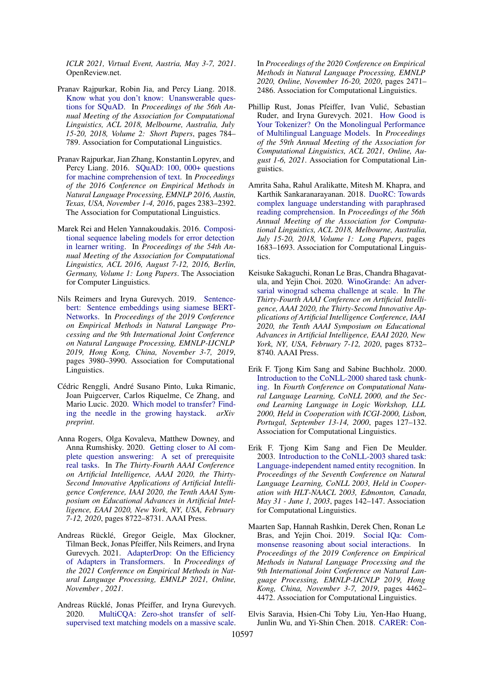*ICLR 2021, Virtual Event, Austria, May 3-7, 2021*. OpenReview.net.

- <span id="page-12-11"></span>Pranav Rajpurkar, Robin Jia, and Percy Liang. 2018. [Know what you don't know: Unanswerable ques](https://doi.org/10.18653/v1/P18-2124)[tions for SQuAD.](https://doi.org/10.18653/v1/P18-2124) In *Proceedings of the 56th Annual Meeting of the Association for Computational Linguistics, ACL 2018, Melbourne, Australia, July 15-20, 2018, Volume 2: Short Papers*, pages 784– 789. Association for Computational Linguistics.
- <span id="page-12-10"></span>Pranav Rajpurkar, Jian Zhang, Konstantin Lopyrev, and Percy Liang. 2016. [SQuAD: 100, 000+ questions](https://doi.org/10.18653/v1/d16-1264) [for machine comprehension of text.](https://doi.org/10.18653/v1/d16-1264) In *Proceedings of the 2016 Conference on Empirical Methods in Natural Language Processing, EMNLP 2016, Austin, Texas, USA, November 1-4, 2016*, pages 2383–2392. The Association for Computational Linguistics.
- <span id="page-12-14"></span>Marek Rei and Helen Yannakoudakis. 2016. [Composi](https://doi.org/10.18653/v1/p16-1112)[tional sequence labeling models for error detection](https://doi.org/10.18653/v1/p16-1112) [in learner writing.](https://doi.org/10.18653/v1/p16-1112) In *Proceedings of the 54th Annual Meeting of the Association for Computational Linguistics, ACL 2016, August 7-12, 2016, Berlin, Germany, Volume 1: Long Papers*. The Association for Computer Linguistics.
- <span id="page-12-5"></span>Nils Reimers and Iryna Gurevych. 2019. [Sentence](https://doi.org/10.18653/v1/D19-1410)[bert: Sentence embeddings using siamese BERT-](https://doi.org/10.18653/v1/D19-1410)[Networks.](https://doi.org/10.18653/v1/D19-1410) In *Proceedings of the 2019 Conference on Empirical Methods in Natural Language Processing and the 9th International Joint Conference on Natural Language Processing, EMNLP-IJCNLP 2019, Hong Kong, China, November 3-7, 2019*, pages 3980–3990. Association for Computational Linguistics.
- <span id="page-12-4"></span>Cédric Renggli, André Susano Pinto, Luka Rimanic, Joan Puigcerver, Carlos Riquelme, Ce Zhang, and Mario Lucic. 2020. [Which model to transfer? Find](http://arxiv.org/abs/2010.06402)[ing the needle in the growing haystack.](http://arxiv.org/abs/2010.06402) *arXiv preprint*.
- <span id="page-12-6"></span>Anna Rogers, Olga Kovaleva, Matthew Downey, and Anna Rumshisky. 2020. [Getting closer to AI com](https://aaai.org/ojs/index.php/AAAI/article/view/6398)[plete question answering: A set of prerequisite](https://aaai.org/ojs/index.php/AAAI/article/view/6398) [real tasks.](https://aaai.org/ojs/index.php/AAAI/article/view/6398) In *The Thirty-Fourth AAAI Conference on Artificial Intelligence, AAAI 2020, the Thirty-Second Innovative Applications of Artificial Intelligence Conference, IAAI 2020, the Tenth AAAI Symposium on Educational Advances in Artificial Intelligence, EAAI 2020, New York, NY, USA, February 7-12, 2020*, pages 8722–8731. AAAI Press.
- <span id="page-12-0"></span>Andreas Rücklé, Gregor Geigle, Max Glockner, Tilman Beck, Jonas Pfeiffer, Nils Reimers, and Iryna Gurevych. 2021. [AdapterDrop: On the Efficiency](http://arxiv.org/abs/2010.11918) [of Adapters in Transformers.](http://arxiv.org/abs/2010.11918) In *Proceedings of the 2021 Conference on Empirical Methods in Natural Language Processing, EMNLP 2021, Online, November , 2021*.
- <span id="page-12-2"></span>Andreas Rücklé, Jonas Pfeiffer, and Iryna Gurevych. 2020. [MultiCQA: Zero-shot transfer of self](https://doi.org/10.18653/v1/2020.emnlp-main.194)[supervised text matching models on a massive scale.](https://doi.org/10.18653/v1/2020.emnlp-main.194)

In *Proceedings of the 2020 Conference on Empirical Methods in Natural Language Processing, EMNLP 2020, Online, November 16-20, 2020*, pages 2471– 2486. Association for Computational Linguistics.

- <span id="page-12-1"></span>Phillip Rust, Jonas Pfeiffer, Ivan Vulic, Sebastian ´ Ruder, and Iryna Gurevych. 2021. [How Good is](https://arxiv.org/abs/2012.15613) [Your Tokenizer? On the Monolingual Performance](https://arxiv.org/abs/2012.15613) [of Multilingual Language Models.](https://arxiv.org/abs/2012.15613) In *Proceedings of the 59th Annual Meeting of the Association for Computational Linguistics, ACL 2021, Online, August 1-6, 2021*. Association for Computational Linguistics.
- <span id="page-12-9"></span>Amrita Saha, Rahul Aralikatte, Mitesh M. Khapra, and Karthik Sankaranarayanan. 2018. [DuoRC: Towards](https://doi.org/10.18653/v1/P18-1156) [complex language understanding with paraphrased](https://doi.org/10.18653/v1/P18-1156) [reading comprehension.](https://doi.org/10.18653/v1/P18-1156) In *Proceedings of the 56th Annual Meeting of the Association for Computational Linguistics, ACL 2018, Melbourne, Australia, July 15-20, 2018, Volume 1: Long Papers*, pages 1683–1693. Association for Computational Linguistics.
- <span id="page-12-8"></span>Keisuke Sakaguchi, Ronan Le Bras, Chandra Bhagavatula, and Yejin Choi. 2020. [WinoGrande: An adver](https://aaai.org/ojs/index.php/AAAI/article/view/6399)[sarial winograd schema challenge at scale.](https://aaai.org/ojs/index.php/AAAI/article/view/6399) In *The Thirty-Fourth AAAI Conference on Artificial Intelligence, AAAI 2020, the Thirty-Second Innovative Applications of Artificial Intelligence Conference, IAAI 2020, the Tenth AAAI Symposium on Educational Advances in Artificial Intelligence, EAAI 2020, New York, NY, USA, February 7-12, 2020*, pages 8732– 8740. AAAI Press.
- <span id="page-12-12"></span>Erik F. Tjong Kim Sang and Sabine Buchholz. 2000. [Introduction to the CoNLL-2000 shared task chunk](https://www.aclweb.org/anthology/W00-0726/)[ing.](https://www.aclweb.org/anthology/W00-0726/) In *Fourth Conference on Computational Natural Language Learning, CoNLL 2000, and the Second Learning Language in Logic Workshop, LLL 2000, Held in Cooperation with ICGI-2000, Lisbon, Portugal, September 13-14, 2000*, pages 127–132. Association for Computational Linguistics.
- <span id="page-12-13"></span>Erik F. Tjong Kim Sang and Fien De Meulder. 2003. [Introduction to the CoNLL-2003 shared task:](https://www.aclweb.org/anthology/W03-0419/) [Language-independent named entity recognition.](https://www.aclweb.org/anthology/W03-0419/) In *Proceedings of the Seventh Conference on Natural Language Learning, CoNLL 2003, Held in Cooperation with HLT-NAACL 2003, Edmonton, Canada, May 31 - June 1, 2003*, pages 142–147. Association for Computational Linguistics.
- <span id="page-12-3"></span>Maarten Sap, Hannah Rashkin, Derek Chen, Ronan Le Bras, and Yejin Choi. 2019. [Social IQa: Com](https://doi.org/10.18653/v1/D19-1454)[monsense reasoning about social interactions.](https://doi.org/10.18653/v1/D19-1454) In *Proceedings of the 2019 Conference on Empirical Methods in Natural Language Processing and the 9th International Joint Conference on Natural Language Processing, EMNLP-IJCNLP 2019, Hong Kong, China, November 3-7, 2019*, pages 4462– 4472. Association for Computational Linguistics.
- <span id="page-12-7"></span>Elvis Saravia, Hsien-Chi Toby Liu, Yen-Hao Huang, Junlin Wu, and Yi-Shin Chen. 2018. [CARER: Con-](https://doi.org/10.18653/v1/d18-1404)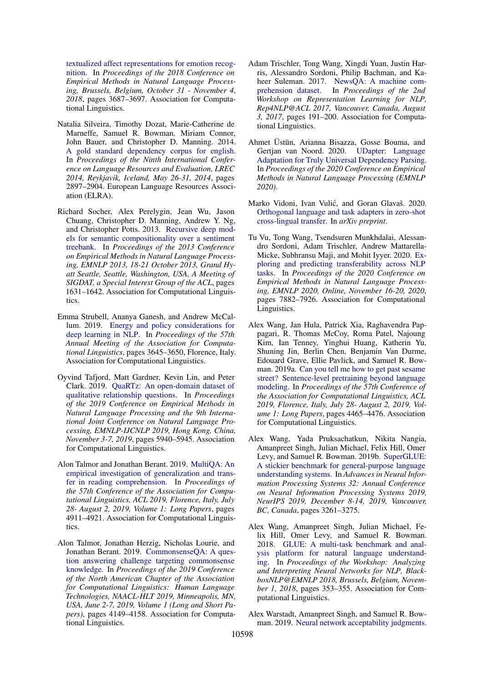[textualized affect representations for emotion recog](https://doi.org/10.18653/v1/d18-1404)[nition.](https://doi.org/10.18653/v1/d18-1404) In *Proceedings of the 2018 Conference on Empirical Methods in Natural Language Processing, Brussels, Belgium, October 31 - November 4, 2018*, pages 3687–3697. Association for Computational Linguistics.

- <span id="page-13-12"></span>Natalia Silveira, Timothy Dozat, Marie-Catherine de Marneffe, Samuel R. Bowman, Miriam Connor, John Bauer, and Christopher D. Manning. 2014. [A gold standard dependency corpus for english.](http://www.lrec-conf.org/proceedings/lrec2014/summaries/1089.html) In *Proceedings of the Ninth International Conference on Language Resources and Evaluation, LREC 2014, Reykjavik, Iceland, May 26-31, 2014*, pages 2897–2904. European Language Resources Association (ELRA).
- <span id="page-13-9"></span>Richard Socher, Alex Perelygin, Jean Wu, Jason Chuang, Christopher D. Manning, Andrew Y. Ng, and Christopher Potts. 2013. [Recursive deep mod](https://www.aclweb.org/anthology/D13-1170/)[els for semantic compositionality over a sentiment](https://www.aclweb.org/anthology/D13-1170/) [treebank.](https://www.aclweb.org/anthology/D13-1170/) In *Proceedings of the 2013 Conference on Empirical Methods in Natural Language Processing, EMNLP 2013, 18-21 October 2013, Grand Hyatt Seattle, Seattle, Washington, USA, A Meeting of SIGDAT, a Special Interest Group of the ACL*, pages 1631–1642. Association for Computational Linguistics.
- <span id="page-13-7"></span>Emma Strubell, Ananya Ganesh, and Andrew McCallum. 2019. [Energy and policy considerations for](https://doi.org/10.18653/v1/P19-1355) [deep learning in NLP.](https://doi.org/10.18653/v1/P19-1355) In *Proceedings of the 57th Annual Meeting of the Association for Computational Linguistics*, pages 3645–3650, Florence, Italy. Association for Computational Linguistics.
- <span id="page-13-10"></span>Oyvind Tafjord, Matt Gardner, Kevin Lin, and Peter Clark. 2019. [QuaRTz: An open-domain dataset of](https://doi.org/10.18653/v1/D19-1608) [qualitative relationship questions.](https://doi.org/10.18653/v1/D19-1608) In *Proceedings of the 2019 Conference on Empirical Methods in Natural Language Processing and the 9th International Joint Conference on Natural Language Processing, EMNLP-IJCNLP 2019, Hong Kong, China, November 3-7, 2019*, pages 5940–5945. Association for Computational Linguistics.
- <span id="page-13-4"></span>Alon Talmor and Jonathan Berant. 2019. [MultiQA: An](https://doi.org/10.18653/v1/p19-1485) [empirical investigation of generalization and trans](https://doi.org/10.18653/v1/p19-1485)[fer in reading comprehension.](https://doi.org/10.18653/v1/p19-1485) In *Proceedings of the 57th Conference of the Association for Computational Linguistics, ACL 2019, Florence, Italy, July 28- August 2, 2019, Volume 1: Long Papers*, pages 4911–4921. Association for Computational Linguistics.
- <span id="page-13-13"></span>Alon Talmor, Jonathan Herzig, Nicholas Lourie, and Jonathan Berant. 2019. [CommonsenseQA: A ques](https://doi.org/10.18653/v1/n19-1421)[tion answering challenge targeting commonsense](https://doi.org/10.18653/v1/n19-1421) [knowledge.](https://doi.org/10.18653/v1/n19-1421) In *Proceedings of the 2019 Conference of the North American Chapter of the Association for Computational Linguistics: Human Language Technologies, NAACL-HLT 2019, Minneapolis, MN, USA, June 2-7, 2019, Volume 1 (Long and Short Papers)*, pages 4149–4158. Association for Computational Linguistics.
- <span id="page-13-11"></span>Adam Trischler, Tong Wang, Xingdi Yuan, Justin Harris, Alessandro Sordoni, Philip Bachman, and Kaheer Suleman. 2017. [NewsQA: A machine com](https://doi.org/10.18653/v1/w17-2623)[prehension dataset.](https://doi.org/10.18653/v1/w17-2623) In *Proceedings of the 2nd Workshop on Representation Learning for NLP, Rep4NLP@ACL 2017, Vancouver, Canada, August 3, 2017*, pages 191–200. Association for Computational Linguistics.
- <span id="page-13-0"></span>Ahmet Üstün, Arianna Bisazza, Gosse Bouma, and Gertjan van Noord. 2020. [UDapter: Language](https://arxiv.org/abs/2004.14327) [Adaptation for Truly Universal Dependency Parsing.](https://arxiv.org/abs/2004.14327) In *Proceedings of the 2020 Conference on Empirical Methods in Natural Language Processing (EMNLP 2020)*.
- <span id="page-13-1"></span>Marko Vidoni, Ivan Vulić, and Goran Glavaš. 2020. [Orthogonal language and task adapters in zero-shot](https://arxiv.org/pdf/2012.06460.pdf) [cross-lingual transfer.](https://arxiv.org/pdf/2012.06460.pdf) In *arXiv preprint*.
- <span id="page-13-3"></span>Tu Vu, Tong Wang, Tsendsuren Munkhdalai, Alessandro Sordoni, Adam Trischler, Andrew Mattarella-Micke, Subhransu Maji, and Mohit Iyyer. 2020. [Ex](https://doi.org/10.18653/v1/2020.emnlp-main.635)[ploring and predicting transferability across NLP](https://doi.org/10.18653/v1/2020.emnlp-main.635) [tasks.](https://doi.org/10.18653/v1/2020.emnlp-main.635) In *Proceedings of the 2020 Conference on Empirical Methods in Natural Language Processing, EMNLP 2020, Online, November 16-20, 2020*, pages 7882–7926. Association for Computational Linguistics.
- <span id="page-13-2"></span>Alex Wang, Jan Hula, Patrick Xia, Raghavendra Pappagari, R. Thomas McCoy, Roma Patel, Najoung Kim, Ian Tenney, Yinghui Huang, Katherin Yu, Shuning Jin, Berlin Chen, Benjamin Van Durme, Edouard Grave, Ellie Pavlick, and Samuel R. Bowman. 2019a. [Can you tell me how to get past sesame](https://doi.org/10.18653/v1/p19-1439) [street? Sentence-level pretraining beyond language](https://doi.org/10.18653/v1/p19-1439) [modeling.](https://doi.org/10.18653/v1/p19-1439) In *Proceedings of the 57th Conference of the Association for Computational Linguistics, ACL 2019, Florence, Italy, July 28- August 2, 2019, Volume 1: Long Papers*, pages 4465–4476. Association for Computational Linguistics.
- <span id="page-13-6"></span>Alex Wang, Yada Pruksachatkun, Nikita Nangia, Amanpreet Singh, Julian Michael, Felix Hill, Omer Levy, and Samuel R. Bowman. 2019b. [SuperGLUE:](https://proceedings.neurips.cc/paper/2019/hash/4496bf24afe7fab6f046bf4923da8de6-Abstract.html) [A stickier benchmark for general-purpose language](https://proceedings.neurips.cc/paper/2019/hash/4496bf24afe7fab6f046bf4923da8de6-Abstract.html) [understanding systems.](https://proceedings.neurips.cc/paper/2019/hash/4496bf24afe7fab6f046bf4923da8de6-Abstract.html) In *Advances in Neural Information Processing Systems 32: Annual Conference on Neural Information Processing Systems 2019, NeurIPS 2019, December 8-14, 2019, Vancouver, BC, Canada*, pages 3261–3275.
- <span id="page-13-5"></span>Alex Wang, Amanpreet Singh, Julian Michael, Felix Hill, Omer Levy, and Samuel R. Bowman. 2018. [GLUE: A multi-task benchmark and anal](https://doi.org/10.18653/v1/w18-5446)[ysis platform for natural language understand](https://doi.org/10.18653/v1/w18-5446)[ing.](https://doi.org/10.18653/v1/w18-5446) In *Proceedings of the Workshop: Analyzing and Interpreting Neural Networks for NLP, BlackboxNLP@EMNLP 2018, Brussels, Belgium, November 1, 2018*, pages 353–355. Association for Computational Linguistics.
- <span id="page-13-8"></span>Alex Warstadt, Amanpreet Singh, and Samuel R. Bowman. 2019. [Neural network acceptability judgments.](https://transacl.org/ojs/index.php/tacl/article/view/1710)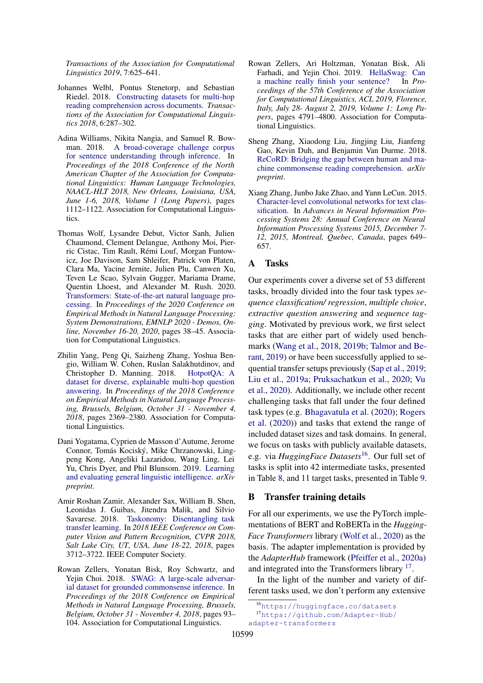*Transactions of the Association for Computational Linguistics 2019*, 7:625–641.

- <span id="page-14-12"></span>Johannes Welbl, Pontus Stenetorp, and Sebastian Riedel. 2018. [Constructing datasets for multi-hop](https://transacl.org/ojs/index.php/tacl/article/view/1325) [reading comprehension across documents.](https://transacl.org/ojs/index.php/tacl/article/view/1325) *Transactions of the Association for Computational Linguistics 2018*, 6:287–302.
- <span id="page-14-8"></span>Adina Williams, Nikita Nangia, and Samuel R. Bowman. 2018. [A broad-coverage challenge corpus](https://doi.org/10.18653/v1/n18-1101) [for sentence understanding through inference.](https://doi.org/10.18653/v1/n18-1101) In *Proceedings of the 2018 Conference of the North American Chapter of the Association for Computational Linguistics: Human Language Technologies, NAACL-HLT 2018, New Orleans, Louisiana, USA, June 1-6, 2018, Volume 1 (Long Papers)*, pages 1112–1122. Association for Computational Linguistics.
- <span id="page-14-0"></span>Thomas Wolf, Lysandre Debut, Victor Sanh, Julien Chaumond, Clement Delangue, Anthony Moi, Pierric Cistac, Tim Rault, Rémi Louf, Morgan Funtowicz, Joe Davison, Sam Shleifer, Patrick von Platen, Clara Ma, Yacine Jernite, Julien Plu, Canwen Xu, Teven Le Scao, Sylvain Gugger, Mariama Drame, Quentin Lhoest, and Alexander M. Rush. 2020. [Transformers: State-of-the-art natural language pro](https://doi.org/10.18653/v1/2020.emnlp-demos.6)[cessing.](https://doi.org/10.18653/v1/2020.emnlp-demos.6) In *Proceedings of the 2020 Conference on Empirical Methods in Natural Language Processing: System Demonstrations, EMNLP 2020 - Demos, Online, November 16-20, 2020*, pages 38–45. Association for Computational Linguistics.
- <span id="page-14-13"></span>Zhilin Yang, Peng Qi, Saizheng Zhang, Yoshua Bengio, William W. Cohen, Ruslan Salakhutdinov, and Christopher D. Manning. 2018. [HotpotQA: A](https://doi.org/10.18653/v1/d18-1259) [dataset for diverse, explainable multi-hop question](https://doi.org/10.18653/v1/d18-1259) [answering.](https://doi.org/10.18653/v1/d18-1259) In *Proceedings of the 2018 Conference on Empirical Methods in Natural Language Processing, Brussels, Belgium, October 31 - November 4, 2018*, pages 2369–2380. Association for Computational Linguistics.
- <span id="page-14-1"></span>Dani Yogatama, Cyprien de Masson d'Autume, Jerome Connor, Tomás Kociský, Mike Chrzanowski, Lingpeng Kong, Angeliki Lazaridou, Wang Ling, Lei Yu, Chris Dyer, and Phil Blunsom. 2019. [Learning](http://arxiv.org/abs/1901.11373) [and evaluating general linguistic intelligence.](http://arxiv.org/abs/1901.11373) *arXiv preprint*.
- <span id="page-14-2"></span>Amir Roshan Zamir, Alexander Sax, William B. Shen, Leonidas J. Guibas, Jitendra Malik, and Silvio Savarese. 2018. [Taskonomy: Disentangling task](https://doi.org/10.1109/CVPR.2018.00391) [transfer learning.](https://doi.org/10.1109/CVPR.2018.00391) In *2018 IEEE Conference on Computer Vision and Pattern Recognition, CVPR 2018, Salt Lake City, UT, USA, June 18-22, 2018*, pages 3712–3722. IEEE Computer Society.
- <span id="page-14-11"></span>Rowan Zellers, Yonatan Bisk, Roy Schwartz, and Yejin Choi. 2018. [SWAG: A large-scale adversar](https://doi.org/10.18653/v1/d18-1009)[ial dataset for grounded commonsense inference.](https://doi.org/10.18653/v1/d18-1009) In *Proceedings of the 2018 Conference on Empirical Methods in Natural Language Processing, Brussels, Belgium, October 31 - November 4, 2018*, pages 93– 104. Association for Computational Linguistics.
- <span id="page-14-10"></span>Rowan Zellers, Ari Holtzman, Yonatan Bisk, Ali Farhadi, and Yejin Choi. 2019. [HellaSwag: Can](https://doi.org/10.18653/v1/p19-1472) [a machine really finish your sentence?](https://doi.org/10.18653/v1/p19-1472) In *Proceedings of the 57th Conference of the Association for Computational Linguistics, ACL 2019, Florence, Italy, July 28- August 2, 2019, Volume 1: Long Papers*, pages 4791–4800. Association for Computational Linguistics.
- <span id="page-14-7"></span>Sheng Zhang, Xiaodong Liu, Jingjing Liu, Jianfeng Gao, Kevin Duh, and Benjamin Van Durme. 2018. [ReCoRD: Bridging the gap between human and ma](http://arxiv.org/abs/1810.12885)[chine commonsense reading comprehension.](http://arxiv.org/abs/1810.12885) *arXiv preprint*.
- <span id="page-14-9"></span>Xiang Zhang, Junbo Jake Zhao, and Yann LeCun. 2015. [Character-level convolutional networks for text clas](https://proceedings.neurips.cc/paper/2015/hash/250cf8b51c773f3f8dc8b4be867a9a02-Abstract.html)[sification.](https://proceedings.neurips.cc/paper/2015/hash/250cf8b51c773f3f8dc8b4be867a9a02-Abstract.html) In *Advances in Neural Information Processing Systems 28: Annual Conference on Neural Information Processing Systems 2015, December 7- 12, 2015, Montreal, Quebec, Canada*, pages 649– 657.

## <span id="page-14-3"></span>A Tasks

Our experiments cover a diverse set of 53 different tasks, broadly divided into the four task types *sequence classification/ regression*, *multiple choice*, *extractive question answering* and *sequence tagging*. Motivated by previous work, we first select tasks that are either part of widely used benchmarks [\(Wang et al.,](#page-13-5) [2018,](#page-13-5) [2019b;](#page-13-6) [Talmor and Be](#page-13-4)[rant,](#page-13-4) [2019\)](#page-13-4) or have been successfully applied to sequential transfer setups previously [\(Sap et al.,](#page-12-3) [2019;](#page-12-3) [Liu et al.,](#page-11-8) [2019a;](#page-11-8) [Pruksachatkun et al.,](#page-11-5) [2020;](#page-11-5) [Vu](#page-13-3) [et al.,](#page-13-3) [2020\)](#page-13-3). Additionally, we include other recent challenging tasks that fall under the four defined task types (e.g. [Bhagavatula et al.](#page-9-3) [\(2020\)](#page-9-3); [Rogers](#page-12-6) [et al.](#page-12-6) [\(2020\)](#page-12-6)) and tasks that extend the range of included dataset sizes and task domains. In general, we focus on tasks with publicly available datasets, e.g. via *HuggingFace Datasets*[16](#page-14-5). Our full set of tasks is split into 42 intermediate tasks, presented in Table [8,](#page-18-0) and 11 target tasks, presented in Table [9.](#page-19-0)

#### <span id="page-14-4"></span>B Transfer training details

For all our experiments, we use the PyTorch implementations of BERT and RoBERTa in the *Hugging-Face Transformers* library [\(Wolf et al.,](#page-14-0) [2020\)](#page-14-0) as the basis. The adapter implementation is provided by the *AdapterHub* framework [\(Pfeiffer et al.,](#page-11-6) [2020a\)](#page-11-6) and integrated into the Transformers library <sup>[17](#page-14-6)</sup>.

In the light of the number and variety of different tasks used, we don't perform any extensive

<span id="page-14-6"></span><span id="page-14-5"></span><sup>16</sup><https://huggingface.co/datasets> <sup>17</sup>[https://github.com/Adapter-Hub/](https://github.com/Adapter-Hub/adapter-transformers) [adapter-transformers](https://github.com/Adapter-Hub/adapter-transformers)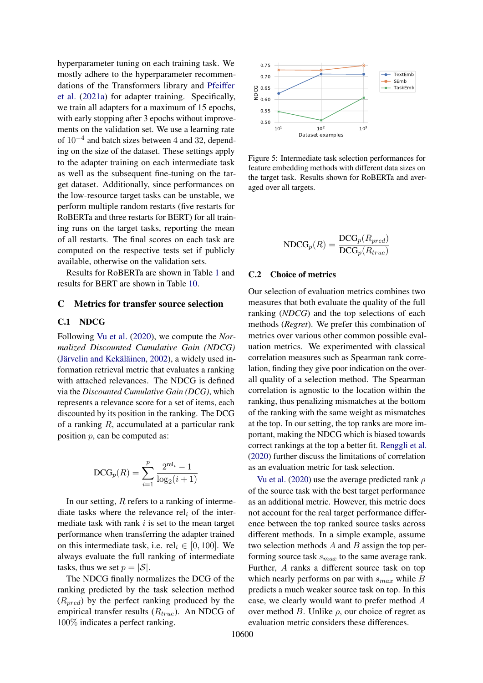hyperparameter tuning on each training task. We mostly adhere to the hyperparameter recommendations of the Transformers library and [Pfeiffer](#page-11-2) [et al.](#page-11-2) [\(2021a\)](#page-11-2) for adapter training. Specifically, we train all adapters for a maximum of 15 epochs, with early stopping after 3 epochs without improvements on the validation set. We use a learning rate of 10−<sup>4</sup> and batch sizes between 4 and 32, depending on the size of the dataset. These settings apply to the adapter training on each intermediate task as well as the subsequent fine-tuning on the target dataset. Additionally, since performances on the low-resource target tasks can be unstable, we perform multiple random restarts (five restarts for RoBERTa and three restarts for BERT) for all training runs on the target tasks, reporting the mean of all restarts. The final scores on each task are computed on the respective tests set if publicly available, otherwise on the validation sets.

Results for RoBERTa are shown in Table [1](#page-3-0) and results for BERT are shown in Table [10.](#page-20-0)

#### <span id="page-15-0"></span>C Metrics for transfer source selection

### C.1 NDCG

Following [Vu et al.](#page-13-3) [\(2020\)](#page-13-3), we compute the *Normalized Discounted Cumulative Gain (NDCG)* [\(Järvelin and Kekäläinen,](#page-10-6) [2002\)](#page-10-6), a widely used information retrieval metric that evaluates a ranking with attached relevances. The NDCG is defined via the *Discounted Cumulative Gain (DCG)*, which represents a relevance score for a set of items, each discounted by its position in the ranking. The DCG of a ranking  $R$ , accumulated at a particular rank position  $p$ , can be computed as:

$$
\text{DCG}_p(R) = \sum_{i=1}^p \frac{2^{\text{rel}_i} - 1}{\log_2(i+1)}
$$

In our setting,  $R$  refers to a ranking of intermediate tasks where the relevance rel<sub>i</sub> of the intermediate task with rank  $i$  is set to the mean target performance when transferring the adapter trained on this intermediate task, i.e.  $rel_i \in [0, 100]$ . We always evaluate the full ranking of intermediate tasks, thus we set  $p = |\mathcal{S}|$ .

The NDCG finally normalizes the DCG of the ranking predicted by the task selection method  $(R_{pred})$  by the perfect ranking produced by the empirical transfer results  $(R_{true})$ . An NDCG of 100% indicates a perfect ranking.

<span id="page-15-1"></span>

Figure 5: Intermediate task selection performances for feature embedding methods with different data sizes on the target task. Results shown for RoBERTa and averaged over all targets.

$$
\text{NDCG}_p(R) = \frac{\text{DCG}_p(R_{pred})}{\text{DCG}_p(R_{true})}
$$

## C.2 Choice of metrics

Our selection of evaluation metrics combines two measures that both evaluate the quality of the full ranking (*NDCG*) and the top selections of each methods (*Regret*). We prefer this combination of metrics over various other common possible evaluation metrics. We experimented with classical correlation measures such as Spearman rank correlation, finding they give poor indication on the overall quality of a selection method. The Spearman correlation is agnostic to the location within the ranking, thus penalizing mismatches at the bottom of the ranking with the same weight as mismatches at the top. In our setting, the top ranks are more important, making the NDCG which is biased towards correct rankings at the top a better fit. [Renggli et al.](#page-12-4) [\(2020\)](#page-12-4) further discuss the limitations of correlation as an evaluation metric for task selection.

[Vu et al.](#page-13-3) [\(2020\)](#page-13-3) use the average predicted rank  $\rho$ of the source task with the best target performance as an additional metric. However, this metric does not account for the real target performance difference between the top ranked source tasks across different methods. In a simple example, assume two selection methods  $A$  and  $B$  assign the top performing source task  $s_{max}$  to the same average rank. Further, A ranks a different source task on top which nearly performs on par with  $s_{max}$  while B predicts a much weaker source task on top. In this case, we clearly would want to prefer method A over method  $B$ . Unlike  $\rho$ , our choice of regret as evaluation metric considers these differences.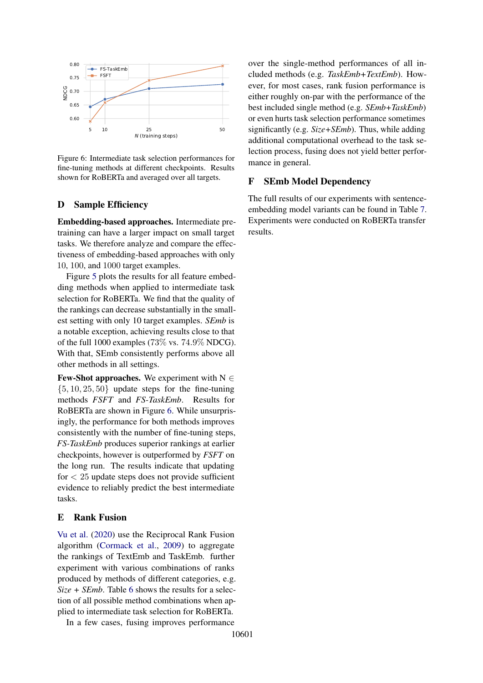<span id="page-16-2"></span>

Figure 6: Intermediate task selection performances for fine-tuning methods at different checkpoints. Results shown for RoBERTa and averaged over all targets.

## <span id="page-16-0"></span>D Sample Efficiency

Embedding-based approaches. Intermediate pretraining can have a larger impact on small target tasks. We therefore analyze and compare the effectiveness of embedding-based approaches with only 10, 100, and 1000 target examples.

Figure [5](#page-15-1) plots the results for all feature embedding methods when applied to intermediate task selection for RoBERTa. We find that the quality of the rankings can decrease substantially in the smallest setting with only 10 target examples. *SEmb* is a notable exception, achieving results close to that of the full 1000 examples (73\%) vs. 74.9\% NDCG). With that, SEmb consistently performs above all other methods in all settings.

**Few-Shot approaches.** We experiment with  $N \in$  $\{5, 10, 25, 50\}$  update steps for the fine-tuning methods *FSFT* and *FS-TaskEmb*. Results for RoBERTa are shown in Figure [6.](#page-16-2) While unsurprisingly, the performance for both methods improves consistently with the number of fine-tuning steps, *FS-TaskEmb* produces superior rankings at earlier checkpoints, however is outperformed by *FSFT* on the long run. The results indicate that updating for  $\langle 25 \rangle$  update steps does not provide sufficient evidence to reliably predict the best intermediate tasks.

### <span id="page-16-1"></span>E Rank Fusion

[Vu et al.](#page-13-3) [\(2020\)](#page-13-3) use the Reciprocal Rank Fusion algorithm [\(Cormack et al.,](#page-9-4) [2009\)](#page-9-4) to aggregate the rankings of TextEmb and TaskEmb. further experiment with various combinations of ranks produced by methods of different categories, e.g. *Size + SEmb*. Table [6](#page-17-2) shows the results for a selection of all possible method combinations when applied to intermediate task selection for RoBERTa.

In a few cases, fusing improves performance

over the single-method performances of all included methods (e.g. *TaskEmb+TextEmb*). However, for most cases, rank fusion performance is either roughly on-par with the performance of the best included single method (e.g. *SEmb+TaskEmb*) or even hurts task selection performance sometimes significantly (e.g. *Size+SEmb*). Thus, while adding additional computational overhead to the task selection process, fusing does not yield better performance in general.

## F SEmb Model Dependency

The full results of our experiments with sentenceembedding model variants can be found in Table [7.](#page-17-1) Experiments were conducted on RoBERTa transfer results.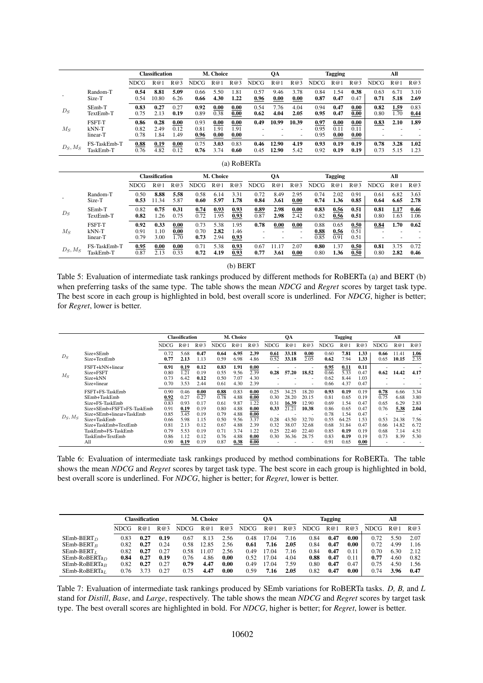<span id="page-17-0"></span>

|            |                                      |                      | <b>Classification</b> |                      | M. Choice            |                       | QA                   |       | <b>Tagging</b> |                 |                      | All                  |                      |                                       |              |      |
|------------|--------------------------------------|----------------------|-----------------------|----------------------|----------------------|-----------------------|----------------------|-------|----------------|-----------------|----------------------|----------------------|----------------------|---------------------------------------|--------------|------|
|            |                                      | <b>NDCG</b>          | R@1                   | R@3                  | <b>NDCG</b>          | R@1                   | R@3                  | NDCG. | R@1            | R@3             | <b>NDCG</b>          | R@                   | R@3                  | NDCG                                  | $R$ $\omega$ | R@3  |
|            | Random-T                             | 0.54                 | 8.81                  | 5.09                 | 0.66                 | 5.50                  | 1.81                 | 0.57  | 9.46           | 3.78            | 0.84                 | . . 54               | 0.38                 | 0.63                                  | 6.71         | 3.10 |
|            | Size-T                               | 0.54                 | 10.80                 | 6.26                 | 0.66                 | 4.30                  | 1.22                 | 0.96  | 0.00           | 0.00            | 0.87                 | 0.47                 | 0.47                 | 0.71                                  | 5.18         | 2.69 |
| $D_S$      | SEmb-T                               | 0.83                 | 0.27                  | 0.27                 | 0.92                 | 0.00                  | 0.00                 | 0.54  | 7.76           | 4.04            | 0.94                 | 0.47                 | 0.00                 | 0.82                                  | 1.59         | 0.83 |
|            | TextEmb-T                            | 0.75                 | 2.13                  | 0.19                 | 0.89                 | 0.38                  | 0.00                 | 0.62  | 4.04           | 2.05            | 0.95                 | 0.47                 | 0.00                 | 0.80                                  | 1.70         | 0.44 |
| $M_S$      | <b>FSFT-T</b><br>$kNN-T$<br>linear-T | 0.86<br>0.82<br>0.78 | 0.28<br>2.49<br>.84   | 0.00<br>0.12<br>1.49 | 0.93<br>0.81<br>0.96 | 0.00<br>91. ،<br>0.00 | 0.00<br>1.91<br>0.00 | 0.49  | 10.99          | 10.39<br>-<br>- | 0.97<br>0.95<br>0.95 | 0.00<br>0.11<br>0.00 | 0.00<br>0.11<br>0.00 | 0.83<br>۰<br>$\overline{\phantom{0}}$ | 2.10<br>-    | 1.89 |
| $D_S, M_S$ | FS-TaskEmb-T                         | 0.88                 | 0.19                  | 0.00                 | 0.75                 | 3.03                  | 0.83                 | 0.46  | 12.90          | 4.19            | 0.93                 | 0.19                 | 0.19                 | 0.78                                  | 3.28         | 1.02 |
|            | TaskEmb-T                            | 0.76                 | 4.82                  | 0.12                 | 0.76                 | 3.74                  | 0.60                 | 0.45  | 12.90          | 5.42            | 0.92                 | 0.19                 | 0.19                 | 0.73                                  | 5.15         | 1.23 |

| (a) RoBERTa |
|-------------|
|-------------|

|            |                               | <b>Classification</b> |                      | M. Choice            |                      | QA                   |                      | <b>Tagging</b> |       |      | All                  |                      |                      |                |      |      |
|------------|-------------------------------|-----------------------|----------------------|----------------------|----------------------|----------------------|----------------------|----------------|-------|------|----------------------|----------------------|----------------------|----------------|------|------|
|            |                               | <b>NDCG</b>           | R@1                  | R@3                  | <b>NDCG</b>          | R@                   | R@3                  | <b>NDCG</b>    | R@1   | R@3  | <b>NDCG</b>          | R@1                  | R@3                  | <b>NDCG</b>    | R@1  | R@3  |
|            | Random-T                      | 0.50                  | 8.88                 | 5.58                 | 0.58                 | 6.14                 | 3.31                 | 0.72           | 8.49  | 2.95 | 0.74                 | 2.02                 | 0.91                 | 0.61           | 6.82 | 3.63 |
|            | Size-T                        | 0.53                  | 11.34                | 5.87                 | 0.60                 | 5.97                 | 1.78                 | 0.84           | 3.61  | 0.00 | 0.74                 | 1.36                 | 0.85                 | 0.64           | 6.65 | 2.78 |
| $D_S$      | SEmb-T                        | 0.82                  | 0.75                 | 0.31                 | 0.74                 | 0.93                 | 0.93                 | 0.89           | 2.98  | 0.00 | 0.83                 | 0.56                 | 0.51                 | 0.81           | 1.17 | 0.46 |
|            | TextEmb-T                     | 0.82                  | .26                  | 0.75                 | 0.72                 | 1.95                 | 0.93                 | 0.87           | 2.98  | 2.42 | 0.82                 | 0.56                 | 0.51                 | 0.80           | 1.63 | l.06 |
| $M_S$      | FSFT-T<br>$kNN-T$<br>linear-T | 0.92<br>0.91<br>0.79  | 0.33<br>1.10<br>3.00 | 0.00<br>0.00<br>1.70 | 0.73<br>0.70<br>0.73 | 5.38<br>2.82<br>2.94 | 1.95<br>1.46<br>0.93 | 0.78           | 0.00  | 0.00 | 0.88<br>0.88<br>0.85 | 0.65<br>0.56<br>0.91 | 0.50<br>0.51<br>0.51 | 0.84<br>-<br>- | 1.70 | 0.62 |
| $D_S, M_S$ | FS-TaskEmb-T                  | 0.95                  | 0.00                 | 0.00                 | 0.71                 | 5.38                 | 0.93                 | 0.67           | 11.17 | 2.07 | 0.80                 | . 37                 | 0.50                 | 0.81           | 3.75 | 0.72 |
|            | TaskEmb-T                     | 0.87                  | 2.13                 | 0.33                 | 0.72                 | 4.19                 | 0.93                 | 0.77           | 3.61  | 0.00 | 0.80                 | 1.36                 | 0.50                 | 0.80           | 2.82 | 0.46 |

(b) BERT

Table 5: Evaluation of intermediate task rankings produced by different methods for RoBERTa (a) and BERT (b) when preferring tasks of the same type. The table shows the mean *NDCG* and *Regret* scores by target task type. The best score in each group is highlighted in bold, best overall score is underlined. For *NDCG*, higher is better; for *Regret*, lower is better.

<span id="page-17-2"></span>

|            |                                                                                                                                                                                                     | <b>Classification</b>                                                        |                                                                              |                                                                              | M. Choice                                                                    |                                                                              | QA                                                                           |                                                              |                                                                      | <b>Tagging</b>                                                       |                                                                              |                                                                                | All                                                                          |                                                              |                                                                |                                                              |
|------------|-----------------------------------------------------------------------------------------------------------------------------------------------------------------------------------------------------|------------------------------------------------------------------------------|------------------------------------------------------------------------------|------------------------------------------------------------------------------|------------------------------------------------------------------------------|------------------------------------------------------------------------------|------------------------------------------------------------------------------|--------------------------------------------------------------|----------------------------------------------------------------------|----------------------------------------------------------------------|------------------------------------------------------------------------------|--------------------------------------------------------------------------------|------------------------------------------------------------------------------|--------------------------------------------------------------|----------------------------------------------------------------|--------------------------------------------------------------|
|            |                                                                                                                                                                                                     | <b>NDCG</b>                                                                  | R@1                                                                          | R@3                                                                          | <b>NDCG</b>                                                                  | R@1                                                                          | R@3                                                                          | <b>NDCG</b>                                                  | R@1                                                                  | R@3                                                                  | <b>NDCG</b>                                                                  | R@                                                                             | R@3                                                                          | NDCG                                                         | R@1                                                            | R@3                                                          |
| $D_S$      | Size+SEmb<br>Size+TextEmb                                                                                                                                                                           | 0.72<br>0.77                                                                 | 5.68<br>2.13                                                                 | 0.47<br>1.13                                                                 | 0.64<br>0.59                                                                 | 6.95<br>6.98                                                                 | 2.39<br>4.86                                                                 | 0.61<br>0.52                                                 | 33.18<br>33.18                                                       | 0.00<br>2.05                                                         | 0.60<br>0.62                                                                 | 7.81<br>7.94                                                                   | 1.33<br>1.33                                                                 | 0.66<br>0.65                                                 | 11.41<br>10.15                                                 | 1.06<br>2.35                                                 |
| $M_{S}$    | FSFT+kNN+linear<br>Size+FSFT<br>Size+kNN<br>Size+linear                                                                                                                                             | 0.91<br>0.80<br>0.73<br>0.70                                                 | 0.19<br>1.21<br>6.42<br>3.53                                                 | 0.12<br>0.19<br>0.12<br>2.44                                                 | 0.83<br>0.55<br>0.50<br>0.61                                                 | 1.91<br>9.56<br>7.07<br>4.30                                                 | 0.00<br>2.39<br>4.30<br>2.39                                                 | 0.28                                                         | 57.20                                                                | 18.52                                                                | 0.95<br>0.66<br>0.62<br>0.66                                                 | 0.11<br>5.33<br>8.44<br>4.37                                                   | 0.11<br>0.47<br>1.03<br>0.47                                                 | 0.62                                                         | 14.42                                                          | 4.17                                                         |
| $D_S, M_S$ | FSFT+FS-TaskEmb<br>SEmb+TaskEmb<br>Size+FS-TaskEmb<br>Size+SEmb+FSFT+FS-TaskEmb<br>Size+SEmb+linear+TaskEmb<br>Size+TaskEmb<br>Size+TaskEmb+TextEmb<br>TaskEmb+FS-TaskEmb<br>TaskEmb+TextEmb<br>All | 0.90<br>0.92<br>0.83<br>0.91<br>0.85<br>0.66<br>0.81<br>0.79<br>0.86<br>0.90 | 0.46<br>0.27<br>0.93<br>0.19<br>3.45<br>5.98<br>2.13<br>5.53<br>1.12<br>0.19 | 0.00<br>0.27<br>0.17<br>0.19<br>0.19<br>1.15<br>0.12<br>0.19<br>0.12<br>0.19 | 0.88<br>0.78<br>0.61<br>0.80<br>0.79<br>0.50<br>0.67<br>0.71<br>0.76<br>0.87 | 0.83<br>4.88<br>9.87<br>4.88<br>4.88<br>9.56<br>4.88<br>3.74<br>4.88<br>0.38 | 0.00<br>0.00<br>1.22<br>0.00<br>0.00<br>3.37<br>2.39<br>1.22<br>0.00<br>0.00 | 0.25<br>0.30<br>0.31<br>0.33<br>0.28<br>0.32<br>0.25<br>0.30 | 34.25<br>28.20<br>16.39<br>21.21<br>43.50<br>38.07<br>22.40<br>36.36 | 18.20<br>20.15<br>12.90<br>10.38<br>32.70<br>32.68<br>22.40<br>28.75 | 0.93<br>0.81<br>0.69<br>0.86<br>0.78<br>0.55<br>0.68<br>0.85<br>0.83<br>0.91 | 0.19<br>0.65<br>1.54<br>0.65<br>1.54<br>64.25<br>31.84<br>0.19<br>0.19<br>0.65 | 0.19<br>0.19<br>0.47<br>0.47<br>0.47<br>1.53<br>0.47<br>0.19<br>0.19<br>0.00 | 0.78<br>0.75<br>0.65<br>0.76<br>0.53<br>0.66<br>0.68<br>0.73 | 6.66<br>6.68<br>6.29<br>5.38<br>24.38<br>14.82<br>7.14<br>8.39 | 3.34<br>3.80<br>2.83<br>2.04<br>7.56<br>6.72<br>4.51<br>5.30 |

Table 6: Evaluation of intermediate task rankings produced by method combinations for RoBERTa. The table shows the mean *NDCG* and *Regret* scores by target task type. The best score in each group is highlighted in bold, best overall score is underlined. For *NDCG*, higher is better; for *Regret*, lower is better.

<span id="page-17-1"></span>

|                  | Classification |      | M. Choice |             |       | OА   |             |       | Tagging |       |      | All  |             |      |      |
|------------------|----------------|------|-----------|-------------|-------|------|-------------|-------|---------|-------|------|------|-------------|------|------|
|                  | <b>NDCG</b>    | R@1  | R@3       | <b>NDCG</b> | R@1   | R@3  | <b>NDCG</b> | R@1   | R@3     | NDCG. | R@   | R@3  | <b>NDCG</b> | R@1  | R@3  |
| $SEmb-BERT_D$    | 0.83           | 0.27 | 0.19      | 0.67        | 8.13  | 2.56 | 0.48        | 17.04 | 7.16    | 0.84  | 0.47 | 0.00 | 0.72        | 5.50 | 2.07 |
| $SEmb-BERTB$     | 0.82           | 0.27 | 0.24      | 0.58        | 12.85 | 2.56 | 0.61        | 7.16  | 2.05    | 0.84  | 0.47 | 0.00 | 0.72        | 4.99 | 1.16 |
| $SEmb-BERTL$     | 0.82           | 0.27 | 0.27      | 0.58        | 11.07 | 2.56 | 0.49        | 17.04 | 7.16    | 0.84  | 0.47 | 0.11 | 0.70        | 6.30 | 2.12 |
| $SEmb-RoBERTa_D$ | 0.84           | 0.27 | 0.19      | 0.76        | 4.86  | 0.00 | 0.52        | 17.04 | 4.04    | 0.88  | 0.47 | 0.11 | 0.77        | 4.60 | 0.82 |
| $SEmb-RoBERTaB$  | 0.82           | 0.27 | 0.27      | 0.79        | 4.47  | 0.00 | 0.49        | 17.04 | 7.59    | 0.80  | 0.47 | 0.47 | 0.75        | 4.50 | 1.56 |
| $SEmb-RoBERTaL$  | 0.76           | 3.73 | 0.27      | 0.75        | 4.47  | 0.00 | 0.59        | 7.16  | 2.05    | 0.82  | 0.47 | 0.00 | 0.74        | 3.96 | 0.47 |

Table 7: Evaluation of intermediate task rankings produced by SEmb variations for RoBERTa tasks. *D, B,* and *L* stand for *Distill*, *Base*, and *Large*, respectively. The table shows the mean *NDCG* and *Regret* scores by target task type. The best overall scores are highlighted in bold. For *NDCG*, higher is better; for *Regret*, lower is better.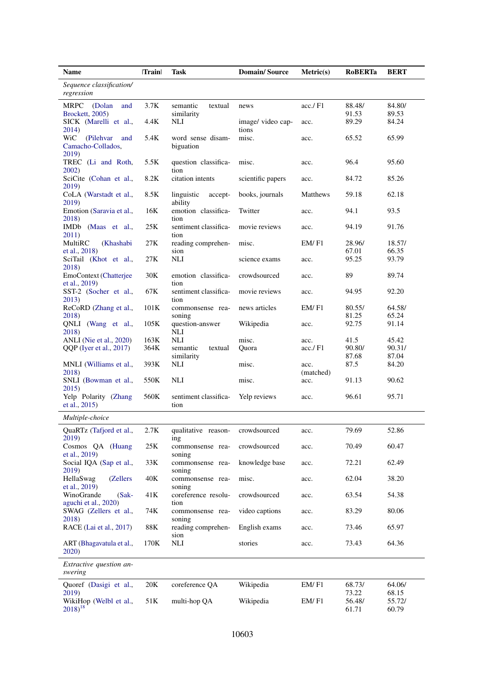<span id="page-18-0"></span>

| Name                                                   | Train | <b>Task</b>                       | <b>Domain/Source</b>       | Metric(s)         | <b>RoBERTa</b>  | <b>BERT</b>     |
|--------------------------------------------------------|-------|-----------------------------------|----------------------------|-------------------|-----------------|-----------------|
| Sequence classification/<br>regression                 |       |                                   |                            |                   |                 |                 |
| <b>MRPC</b><br>(Dolan<br>and<br>Brockett, 2005)        | 3.7K  | semantic<br>textual<br>similarity | news                       | acc./F1           | 88.48/<br>91.53 | 84.80/<br>89.53 |
| SICK (Marelli et al.,<br>2014)                         | 4.4K  | NLI                               | image/ video cap-<br>tions | acc.              | 89.29           | 84.24           |
| WiC<br>(Pilehvar)<br>and<br>Camacho-Collados,<br>2019) | 5.4K  | word sense disam-<br>biguation    | misc.                      | acc.              | 65.52           | 65.99           |
| TREC (Li and Roth,<br>2002)                            | 5.5K  | question classifica-<br>tion      | misc.                      | acc.              | 96.4            | 95.60           |
| SciCite (Cohan et al.,<br>2019)                        | 8.2K  | citation intents                  | scientific papers          | acc.              | 84.72           | 85.26           |
| CoLA (Warstadt et al.,<br>2019)                        | 8.5K  | linguistic<br>accept-<br>ability  | books, journals            | Matthews          | 59.18           | 62.18           |
| Emotion (Saravia et al.,<br>2018)                      | 16K   | emotion classifica-<br>tion       | Twitter                    | acc.              | 94.1            | 93.5            |
| IMDb (Maas et al.,<br>2011)                            | 25K   | sentiment classifica-<br>tion     | movie reviews              | acc.              | 94.19           | 91.76           |
| MultiRC<br>(Khashabi<br>et al., 2018)                  | 27K   | reading comprehen-<br>sion        | misc.                      | EM/F1             | 28.96/<br>67.01 | 18.57/<br>66.35 |
| SciTail (Khot et al.,<br>2018)                         | 27K   | <b>NLI</b>                        | science exams              | acc.              | 95.25           | 93.79           |
| EmoContext (Chatterjee<br>et al., 2019)                | 30K   | emotion classifica-<br>tion       | crowdsourced               | acc.              | 89              | 89.74           |
| SST-2 (Socher et al.,<br>2013)                         | 67K   | sentiment classifica-<br>tion     | movie reviews              | acc.              | 94.95           | 92.20           |
| ReCoRD (Zhang et al.,<br>2018)                         | 101K  | commonsense rea-<br>soning        | news articles              | EM/F1             | 80.55/<br>81.25 | 64.58/<br>65.24 |
| QNLI (Wang et al.,<br>2018)                            | 105K  | question-answer<br>NLI            | Wikipedia                  | acc.              | 92.75           | 91.14           |
| ANLI (Nie et al., 2020)                                | 163K  | NLI                               | misc.                      | acc.              | 41.5            | 45.42           |
| QQP (Iyer et al., 2017)                                | 364K  | semantic<br>textual               | Quora                      | acc./F1           | 90.80/          | 90.31/          |
|                                                        |       | similarity                        |                            |                   | 87.68           | 87.04           |
| MNLI (Williams et al.,<br>2018)                        | 393K  | NLI                               | misc.                      | acc.<br>(matched) | 87.5            | 84.20           |
| SNLI (Bowman et al.,<br>2015)                          | 550K  | NLI                               | misc.                      | acc.              | 91.13           | 90.62           |
| Yelp Polarity (Zhang<br>et al., 2015)                  | 560K  | sentiment classifica-<br>tion     | Yelp reviews               | acc.              | 96.61           | 95.71           |
| Multiple-choice                                        |       |                                   |                            |                   |                 |                 |
| QuaRTz (Tafjord et al.,<br>2019)                       | 2.7K  | qualitative reason-<br>ing        | crowdsourced               | acc.              | 79.69           | 52.86           |
| Cosmos QA (Huang<br>et al., 2019)                      | 25K   | commonsense rea-<br>soning        | crowdsourced               | acc.              | 70.49           | 60.47           |
| Social IQA (Sap et al.,<br>2019)                       | 33K   | commonsense rea-<br>soning        | knowledge base             | acc.              | 72.21           | 62.49           |
| (Zellers<br>HellaSwag<br>et al., 2019)                 | 40K   | commonsense rea-<br>soning        | misc.                      | acc.              | 62.04           | 38.20           |
| WinoGrande<br>$(Sak -$<br>aguchi et al., 2020)         | 41K   | coreference resolu-<br>tion       | crowdsourced               | acc.              | 63.54           | 54.38           |
| SWAG (Zellers et al.,<br>2018)                         | 74K   | commonsense rea-<br>soning        | video captions             | acc.              | 83.29           | 80.06           |
| RACE (Lai et al., 2017)                                | 88K   | reading comprehen-<br>sion        | English exams              | acc.              | 73.46           | 65.97           |
| ART (Bhagavatula et al.,<br>2020)                      | 170K  | NLI                               | stories                    | acc.              | 73.43           | 64.36           |
| Extractive question an-<br>swering                     |       |                                   |                            |                   |                 |                 |
| Quoref (Dasigi et al.,<br>2019)                        | 20K   | coreference QA                    | Wikipedia                  | EM/F1             | 68.73/<br>73.22 | 64.06/<br>68.15 |
| WikiHop (Welbl et al.,<br>$2018)^{18}$                 | 51K   | multi-hop QA                      | Wikipedia                  | EM/F1             | 56.48/<br>61.71 | 55.72/<br>60.79 |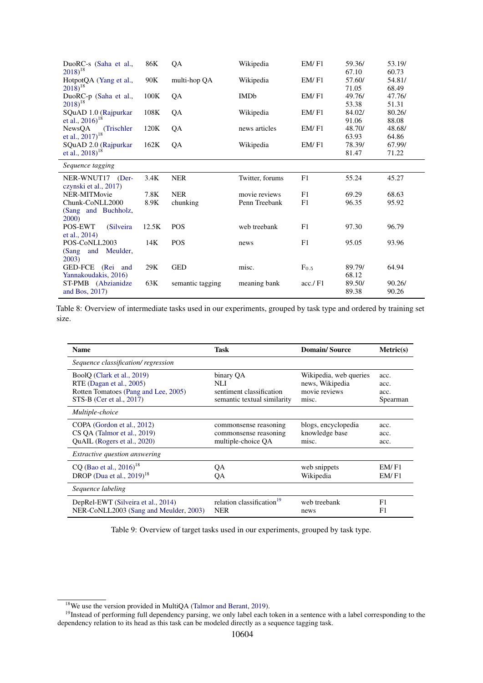| DuoRC-s (Saha et al.,<br>$(2018)^{18}$               | 86K   | QA               | Wikipedia       | EM/F1     | 59.36/<br>67.10 | 53.19/<br>60.73 |
|------------------------------------------------------|-------|------------------|-----------------|-----------|-----------------|-----------------|
| HotpotQA (Yang et al.,<br>$2018)^{18}$               | 90K   | multi-hop QA     | Wikipedia       | EM/F1     | 57.60/<br>71.05 | 54.81/<br>68.49 |
| DuoRC-p (Saha et al.,<br>$2018)^{18}$                | 100K  | QA               | <b>IMDb</b>     | EM/F1     | 49.76/<br>53.38 | 47.76/<br>51.31 |
| SQuAD 1.0 (Rajpurkar<br>et al., $2016$ <sup>18</sup> | 108K  | QA               | Wikipedia       | EM/F1     | 84.02/<br>91.06 | 80.26/<br>88.08 |
| NewsQA<br>(Trischler)<br>et al., 2017) <sup>18</sup> | 120K  | QA               | news articles   | EM/F1     | 48.70/<br>63.93 | 48.68/<br>64.86 |
| SQuAD 2.0 (Rajpurkar<br>et al., $2018$ <sup>18</sup> | 162K  | QA               | Wikipedia       | EM/F1     | 78.39/<br>81.47 | 67.99/<br>71.22 |
| Sequence tagging                                     |       |                  |                 |           |                 |                 |
| NER-WNUT17<br>$(Der-$<br>czynski et al., 2017)       | 3.4K  | <b>NER</b>       | Twitter, forums | F1        | 55.24           | 45.27           |
| NER-MITMovie                                         | 7.8K  | <b>NER</b>       | movie reviews   | F1        | 69.29           | 68.63           |
| Chunk-CoNLL2000<br>(Sang and Buchholz,<br>2000)      | 8.9K  | chunking         | Penn Treebank   | F1        | 96.35           | 95.92           |
| POS-EWT<br>(Silveira)<br>et al., 2014)               | 12.5K | <b>POS</b>       | web treebank    | F1        | 97.30           | 96.79           |
| POS-CoNLL2003<br>and<br>Meulder,<br>(Sang<br>2003)   | 14K   | <b>POS</b>       | news            | F1        | 95.05           | 93.96           |
| GED-FCE (Rei and<br>Yannakoudakis, 2016)             | 29K   | <b>GED</b>       | misc.           | $F_{0.5}$ | 89.79/<br>68.12 | 64.94           |
| ST-PMB (Abzianidze<br>and Bos, 2017)                 | 63K   | semantic tagging | meaning bank    | acc / F1  | 89.50/<br>89.38 | 90.26/<br>90.26 |

Table 8: Overview of intermediate tasks used in our experiments, grouped by task type and ordered by training set size.

<span id="page-19-0"></span>

| <b>Name</b>                                                                                                                | Task                                                                        | <b>Domain/Source</b>                                                | Metric(s)                        |
|----------------------------------------------------------------------------------------------------------------------------|-----------------------------------------------------------------------------|---------------------------------------------------------------------|----------------------------------|
| Sequence classification/regression                                                                                         |                                                                             |                                                                     |                                  |
| BoolQ (Clark et al., 2019)<br>RTE (Dagan et al., 2005)<br>Rotten Tomatoes (Pang and Lee, 2005)<br>STS-B (Cer et al., 2017) | binary QA<br>NLI<br>sentiment classification<br>semantic textual similarity | Wikipedia, web queries<br>news, Wikipedia<br>movie reviews<br>misc. | acc.<br>acc.<br>acc.<br>Spearman |
| Multiple-choice                                                                                                            |                                                                             |                                                                     |                                  |
| COPA (Gordon et al., 2012)<br>CS OA (Talmor et al., 2019)<br>QuAIL (Rogers et al., 2020)                                   | commonsense reasoning<br>commonsense reasoning<br>multiple-choice QA        | blogs, encyclopedia<br>knowledge base<br>misc.                      | acc.<br>acc.<br>acc.             |
| <i>Extractive question answering</i>                                                                                       |                                                                             |                                                                     |                                  |
| CQ (Bao et al., $2016$ ) <sup>18</sup><br>DROP (Dua et al., $2019$ ) <sup>18</sup>                                         | QA<br>QA                                                                    | web snippets<br>Wikipedia                                           | EM/F1<br>EM/F1                   |
| Sequence labeling                                                                                                          |                                                                             |                                                                     |                                  |
| DepRel-EWT (Silveira et al., 2014)<br>NER-CoNLL2003 (Sang and Meulder, 2003)                                               | relation classification <sup>19</sup><br><b>NER</b>                         | web treebank<br>news                                                | F1<br>F1                         |

Table 9: Overview of target tasks used in our experiments, grouped by task type.

<span id="page-19-2"></span><span id="page-19-1"></span><sup>&</sup>lt;sup>18</sup>We use the version provided in MultiQA [\(Talmor and Berant,](#page-13-4) [2019\)](#page-13-4).

<sup>&</sup>lt;sup>19</sup>Instead of performing full dependency parsing, we only label each token in a sentence with a label corresponding to the dependency relation to its head as this task can be modeled directly as a sequence tagging task.